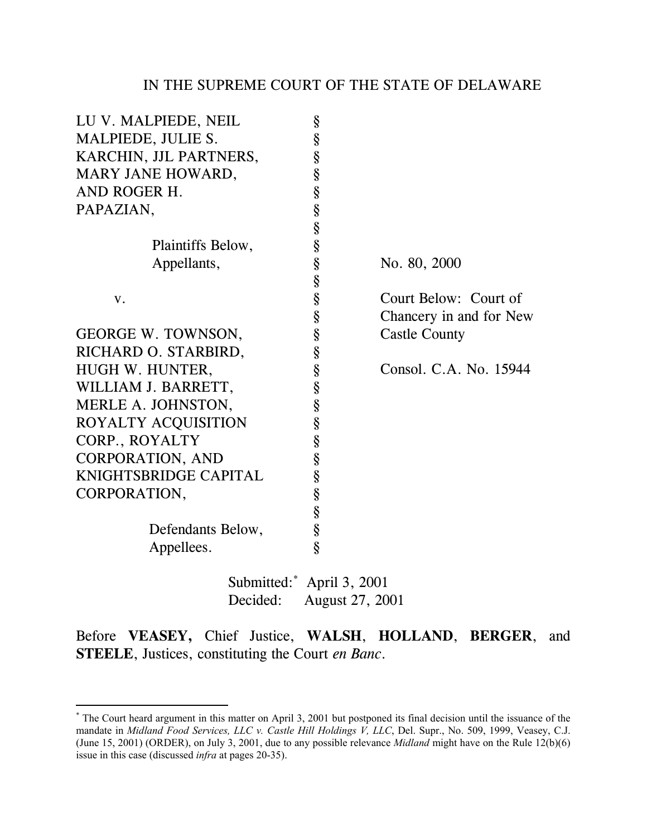| LU V. MALPIEDE, NEIL      | §                      |                         |  |
|---------------------------|------------------------|-------------------------|--|
| MALPIEDE, JULIE S.        | §                      |                         |  |
| KARCHIN, JJL PARTNERS,    | §                      |                         |  |
| MARY JANE HOWARD,         | §                      |                         |  |
| AND ROGER H.              |                        |                         |  |
| PAPAZIAN,                 | §<br>§                 |                         |  |
|                           | §                      |                         |  |
| Plaintiffs Below,         | §                      |                         |  |
| Appellants,               | §                      | No. 80, 2000            |  |
|                           | §                      |                         |  |
| V.                        | §                      | Court Below: Court of   |  |
|                           | §                      | Chancery in and for New |  |
| <b>GEORGE W. TOWNSON,</b> | §                      | <b>Castle County</b>    |  |
| RICHARD O. STARBIRD,      | §                      |                         |  |
| HUGH W. HUNTER,           | §                      | Consol. C.A. No. 15944  |  |
| WILLIAM J. BARRETT,       | §                      |                         |  |
| MERLE A. JOHNSTON,        | §                      |                         |  |
| ROYALTY ACQUISITION       | §                      |                         |  |
| CORP., ROYALTY            | §                      |                         |  |
| <b>CORPORATION, AND</b>   | §                      |                         |  |
| KNIGHTSBRIDGE CAPITAL     | §<br>§                 |                         |  |
| CORPORATION,              |                        |                         |  |
|                           | §                      |                         |  |
| Defendants Below,         | §                      |                         |  |
| Appellees.                | Ś                      |                         |  |
| Submitted: April 3, 2001  |                        |                         |  |
| Decided:                  | <b>August 27, 2001</b> |                         |  |

Before **VEASEY,** Chief Justice, **WALSH**, **HOLLAND**, **BERGER**, and **STEELE**, Justices, constituting the Court *en Banc*.

<sup>\*&</sup>lt;br>The Court heard argument in this matter on April 3, 2001 but postponed its final decision until the issuance of the mandate in *Midland Food Services, LLC v. Castle Hill Holdings V, LLC*, Del. Supr., No. 509, 1999, Veasey, C.J. (June 15, 2001) (ORDER), on July 3, 2001, due to any possible relevance *Midland* might have on the Rule 12(b)(6) issue in this case (discussed *infra* at pages 20-35).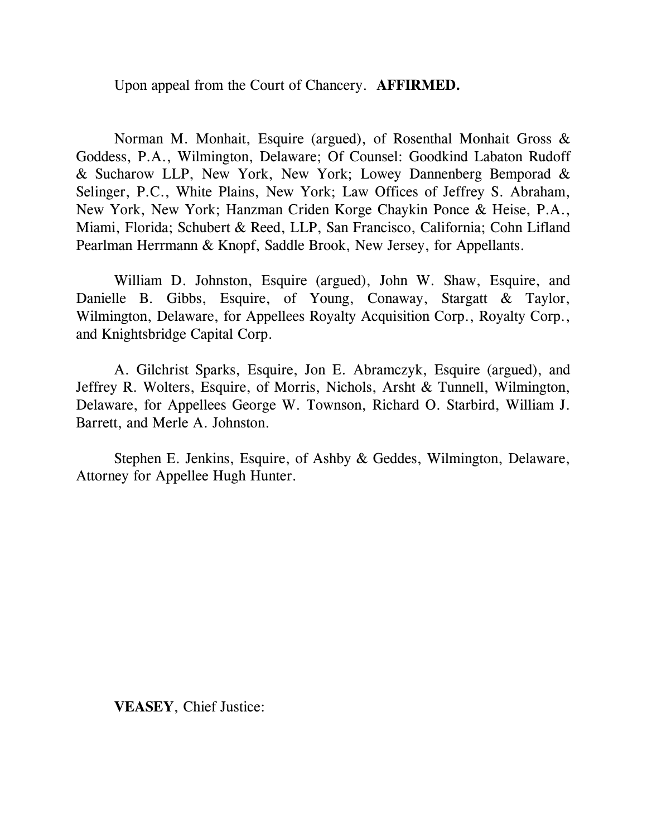Upon appeal from the Court of Chancery. **AFFIRMED.**

Norman M. Monhait, Esquire (argued), of Rosenthal Monhait Gross & Goddess, P.A., Wilmington, Delaware; Of Counsel: Goodkind Labaton Rudoff & Sucharow LLP, New York, New York; Lowey Dannenberg Bemporad & Selinger, P.C., White Plains, New York; Law Offices of Jeffrey S. Abraham, New York, New York; Hanzman Criden Korge Chaykin Ponce & Heise, P.A., Miami, Florida; Schubert & Reed, LLP, San Francisco, California; Cohn Lifland Pearlman Herrmann & Knopf, Saddle Brook, New Jersey, for Appellants.

William D. Johnston, Esquire (argued), John W. Shaw, Esquire, and Danielle B. Gibbs, Esquire, of Young, Conaway, Stargatt & Taylor, Wilmington, Delaware, for Appellees Royalty Acquisition Corp., Royalty Corp., and Knightsbridge Capital Corp.

A. Gilchrist Sparks, Esquire, Jon E. Abramczyk, Esquire (argued), and Jeffrey R. Wolters, Esquire, of Morris, Nichols, Arsht & Tunnell, Wilmington, Delaware, for Appellees George W. Townson, Richard O. Starbird, William J. Barrett, and Merle A. Johnston.

Stephen E. Jenkins, Esquire, of Ashby & Geddes, Wilmington, Delaware, Attorney for Appellee Hugh Hunter.

**VEASEY**, Chief Justice: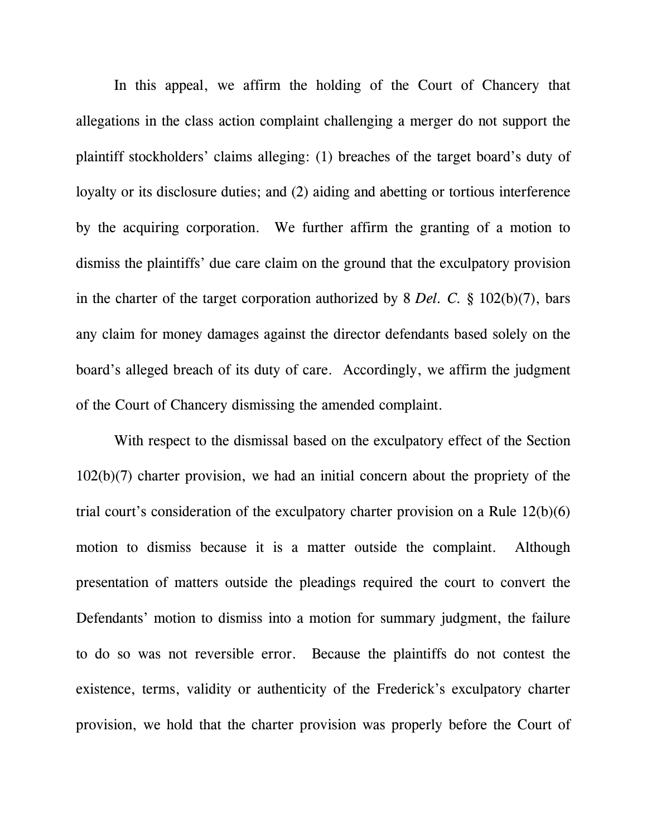In this appeal, we affirm the holding of the Court of Chancery that allegations in the class action complaint challenging a merger do not support the plaintiff stockholders' claims alleging: (1) breaches of the target board's duty of loyalty or its disclosure duties; and (2) aiding and abetting or tortious interference by the acquiring corporation. We further affirm the granting of a motion to dismiss the plaintiffs' due care claim on the ground that the exculpatory provision in the charter of the target corporation authorized by 8 *Del. C.* § 102(b)(7), bars any claim for money damages against the director defendants based solely on the board's alleged breach of its duty of care. Accordingly, we affirm the judgment of the Court of Chancery dismissing the amended complaint.

With respect to the dismissal based on the exculpatory effect of the Section 102(b)(7) charter provision, we had an initial concern about the propriety of the trial court's consideration of the exculpatory charter provision on a Rule 12(b)(6) motion to dismiss because it is a matter outside the complaint. Although presentation of matters outside the pleadings required the court to convert the Defendants' motion to dismiss into a motion for summary judgment, the failure to do so was not reversible error. Because the plaintiffs do not contest the existence, terms, validity or authenticity of the Frederick's exculpatory charter provision, we hold that the charter provision was properly before the Court of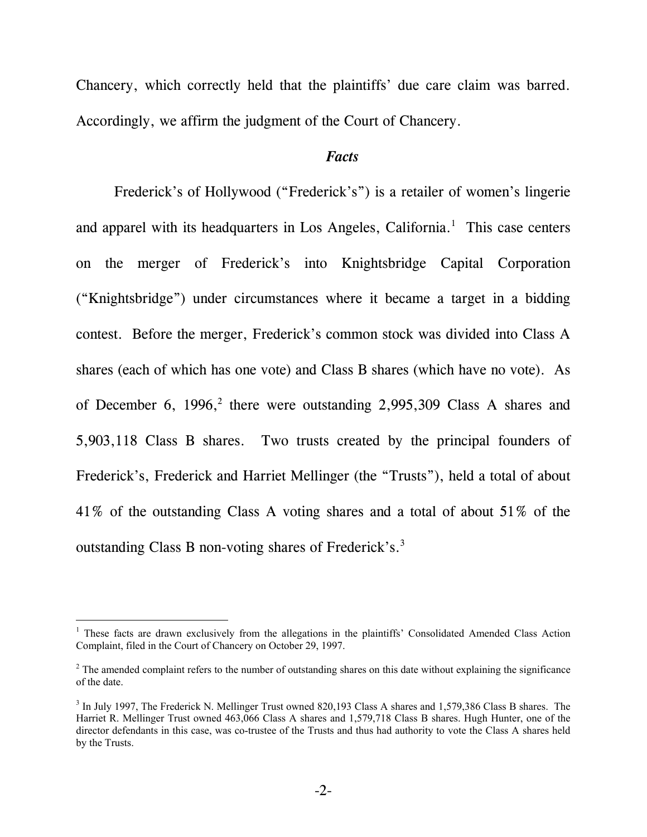Chancery, which correctly held that the plaintiffs' due care claim was barred. Accordingly, we affirm the judgment of the Court of Chancery.

#### *Facts*

Frederick's of Hollywood ("Frederick's") is a retailer of women's lingerie and apparel with its headquarters in Los Angeles, California. $<sup>1</sup>$  This case centers</sup> on the merger of Frederick's into Knightsbridge Capital Corporation ("Knightsbridge") under circumstances where it became a target in a bidding contest. Before the merger, Frederick's common stock was divided into Class A shares (each of which has one vote) and Class B shares (which have no vote). As of December 6, 1996,<sup>2</sup> there were outstanding 2,995,309 Class A shares and 5,903,118 Class B shares. Two trusts created by the principal founders of Frederick's, Frederick and Harriet Mellinger (the "Trusts"), held a total of about 41% of the outstanding Class A voting shares and a total of about 51% of the outstanding Class B non-voting shares of Frederick's.3

<sup>&</sup>lt;sup>1</sup> These facts are drawn exclusively from the allegations in the plaintiffs' Consolidated Amended Class Action Complaint, filed in the Court of Chancery on October 29, 1997.

 $2<sup>2</sup>$  The amended complaint refers to the number of outstanding shares on this date without explaining the significance of the date.

<sup>&</sup>lt;sup>3</sup> In July 1997, The Frederick N. Mellinger Trust owned 820,193 Class A shares and 1,579,386 Class B shares. The Harriet R. Mellinger Trust owned 463,066 Class A shares and 1,579,718 Class B shares. Hugh Hunter, one of the director defendants in this case, was co-trustee of the Trusts and thus had authority to vote the Class A shares held by the Trusts.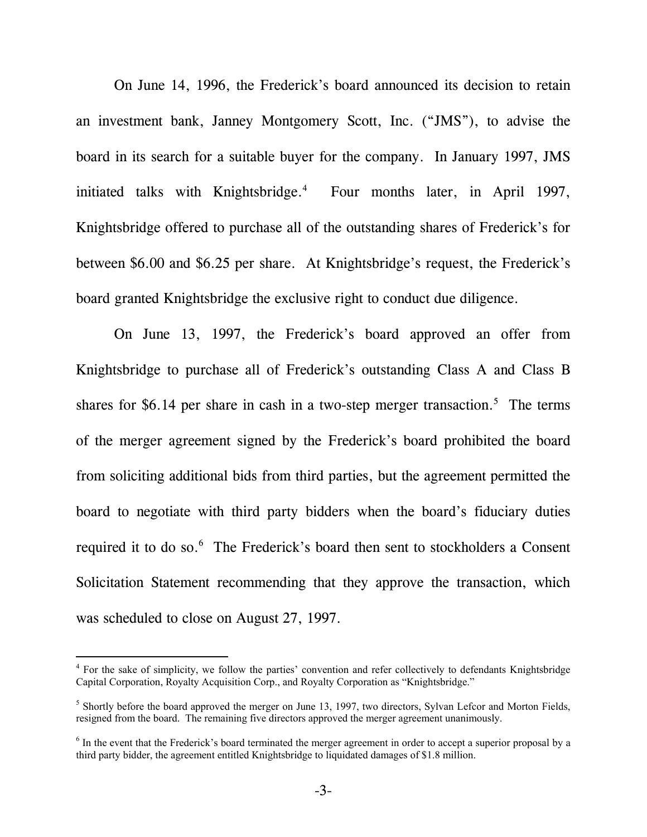On June 14, 1996, the Frederick's board announced its decision to retain an investment bank, Janney Montgomery Scott, Inc. ("JMS"), to advise the board in its search for a suitable buyer for the company. In January 1997, JMS initiated talks with Knightsbridge.<sup>4</sup> Four months later, in April 1997, Knightsbridge offered to purchase all of the outstanding shares of Frederick's for between \$6.00 and \$6.25 per share. At Knightsbridge's request, the Frederick's board granted Knightsbridge the exclusive right to conduct due diligence.

On June 13, 1997, the Frederick's board approved an offer from Knightsbridge to purchase all of Frederick's outstanding Class A and Class B shares for \$6.14 per share in cash in a two-step merger transaction.<sup>5</sup> The terms of the merger agreement signed by the Frederick's board prohibited the board from soliciting additional bids from third parties, but the agreement permitted the board to negotiate with third party bidders when the board's fiduciary duties required it to do so.<sup>6</sup> The Frederick's board then sent to stockholders a Consent Solicitation Statement recommending that they approve the transaction, which was scheduled to close on August 27, 1997.

<sup>&</sup>lt;sup>4</sup> For the sake of simplicity, we follow the parties' convention and refer collectively to defendants Knightsbridge Capital Corporation, Royalty Acquisition Corp., and Royalty Corporation as "Knightsbridge."

<sup>&</sup>lt;sup>5</sup> Shortly before the board approved the merger on June 13, 1997, two directors, Sylvan Lefcor and Morton Fields, resigned from the board. The remaining five directors approved the merger agreement unanimously.

<sup>&</sup>lt;sup>6</sup> In the event that the Frederick's board terminated the merger agreement in order to accept a superior proposal by a third party bidder, the agreement entitled Knightsbridge to liquidated damages of \$1.8 million.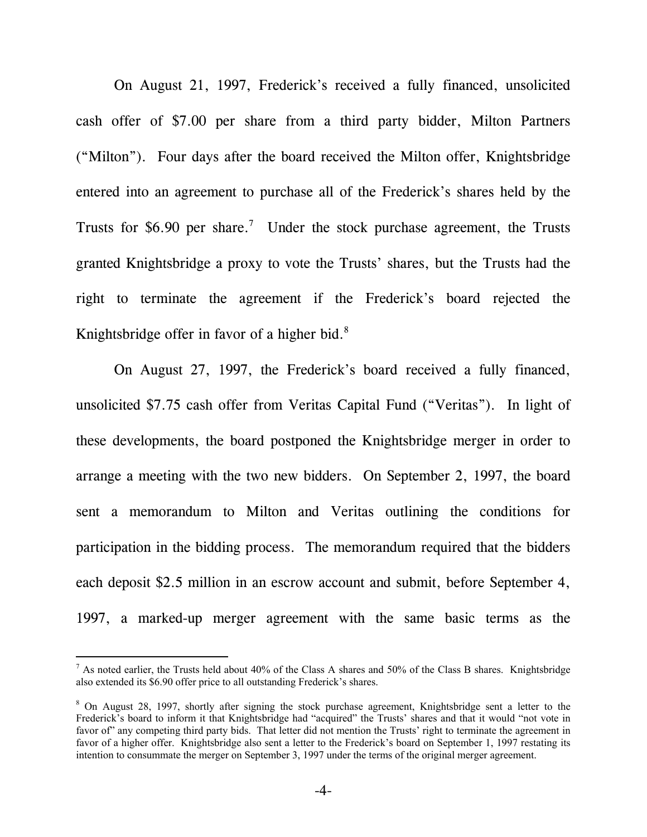On August 21, 1997, Frederick's received a fully financed, unsolicited cash offer of \$7.00 per share from a third party bidder, Milton Partners ("Milton"). Four days after the board received the Milton offer, Knightsbridge entered into an agreement to purchase all of the Frederick's shares held by the Trusts for \$6.90 per share.<sup>7</sup> Under the stock purchase agreement, the Trusts granted Knightsbridge a proxy to vote the Trusts' shares, but the Trusts had the right to terminate the agreement if the Frederick's board rejected the Knightsbridge offer in favor of a higher bid.<sup>8</sup>

On August 27, 1997, the Frederick's board received a fully financed, unsolicited \$7.75 cash offer from Veritas Capital Fund ("Veritas"). In light of these developments, the board postponed the Knightsbridge merger in order to arrange a meeting with the two new bidders. On September 2, 1997, the board sent a memorandum to Milton and Veritas outlining the conditions for participation in the bidding process. The memorandum required that the bidders each deposit \$2.5 million in an escrow account and submit, before September 4, 1997, a marked-up merger agreement with the same basic terms as the

<sup>&</sup>lt;sup>7</sup> As noted earlier, the Trusts held about 40% of the Class A shares and 50% of the Class B shares. Knightsbridge also extended its \$6.90 offer price to all outstanding Frederick's shares.

<sup>&</sup>lt;sup>8</sup> On August 28, 1997, shortly after signing the stock purchase agreement, Knightsbridge sent a letter to the Frederick's board to inform it that Knightsbridge had "acquired" the Trusts' shares and that it would "not vote in favor of" any competing third party bids. That letter did not mention the Trusts' right to terminate the agreement in favor of a higher offer. Knightsbridge also sent a letter to the Frederick's board on September 1, 1997 restating its intention to consummate the merger on September 3, 1997 under the terms of the original merger agreement.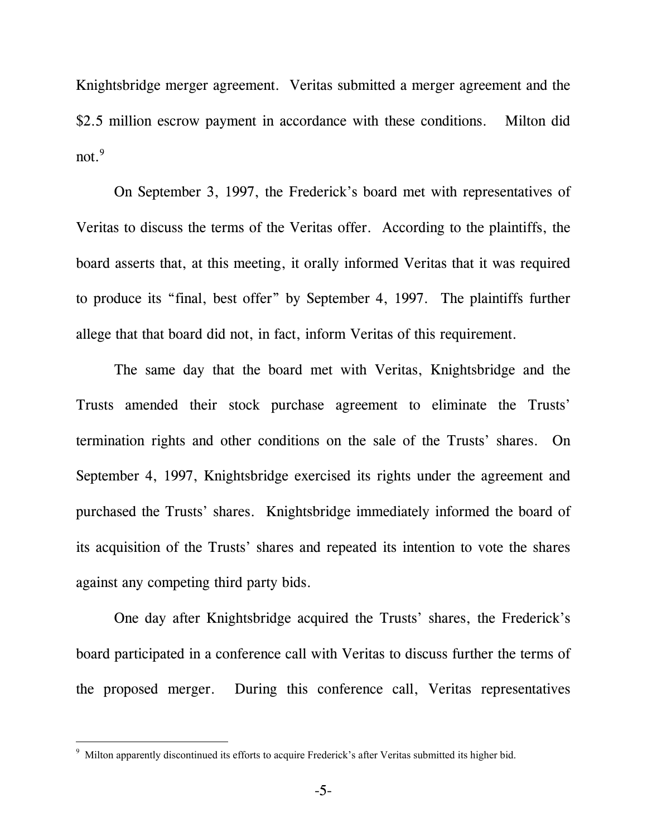Knightsbridge merger agreement. Veritas submitted a merger agreement and the \$2.5 million escrow payment in accordance with these conditions. Milton did  $not.<sup>9</sup>$ 

On September 3, 1997, the Frederick's board met with representatives of Veritas to discuss the terms of the Veritas offer. According to the plaintiffs, the board asserts that, at this meeting, it orally informed Veritas that it was required to produce its "final, best offer" by September 4, 1997. The plaintiffs further allege that that board did not, in fact, inform Veritas of this requirement.

The same day that the board met with Veritas, Knightsbridge and the Trusts amended their stock purchase agreement to eliminate the Trusts' termination rights and other conditions on the sale of the Trusts' shares. On September 4, 1997, Knightsbridge exercised its rights under the agreement and purchased the Trusts' shares. Knightsbridge immediately informed the board of its acquisition of the Trusts' shares and repeated its intention to vote the shares against any competing third party bids.

One day after Knightsbridge acquired the Trusts' shares, the Frederick's board participated in a conference call with Veritas to discuss further the terms of the proposed merger. During this conference call, Veritas representatives

l

<sup>&</sup>lt;sup>9</sup> Milton apparently discontinued its efforts to acquire Frederick's after Veritas submitted its higher bid.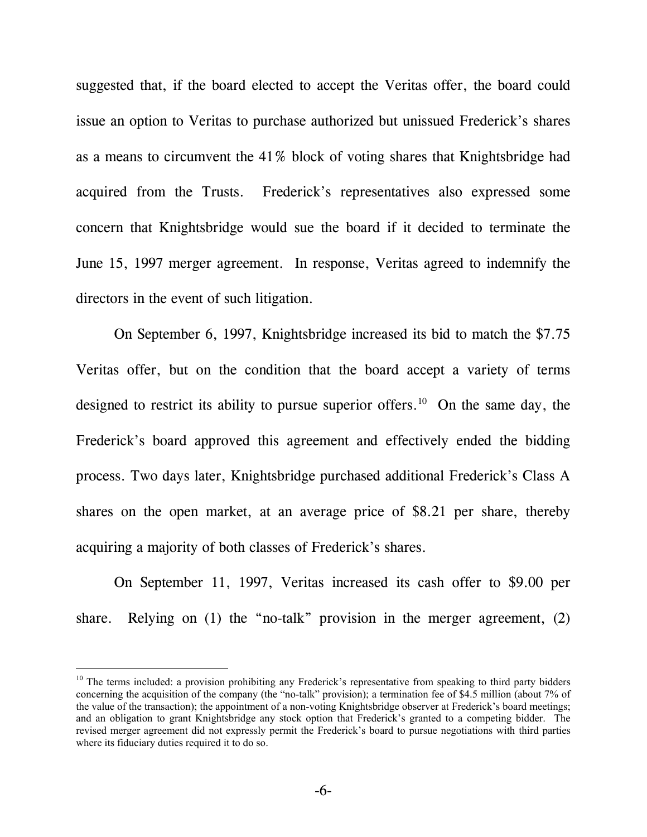suggested that, if the board elected to accept the Veritas offer, the board could issue an option to Veritas to purchase authorized but unissued Frederick's shares as a means to circumvent the 41% block of voting shares that Knightsbridge had acquired from the Trusts. Frederick's representatives also expressed some concern that Knightsbridge would sue the board if it decided to terminate the June 15, 1997 merger agreement. In response, Veritas agreed to indemnify the directors in the event of such litigation.

On September 6, 1997, Knightsbridge increased its bid to match the \$7.75 Veritas offer, but on the condition that the board accept a variety of terms designed to restrict its ability to pursue superior offers.<sup>10</sup> On the same day, the Frederick's board approved this agreement and effectively ended the bidding process. Two days later, Knightsbridge purchased additional Frederick's Class A shares on the open market, at an average price of \$8.21 per share, thereby acquiring a majority of both classes of Frederick's shares.

On September 11, 1997, Veritas increased its cash offer to \$9.00 per share. Relying on (1) the "no-talk" provision in the merger agreement, (2)

<sup>&</sup>lt;sup>10</sup> The terms included: a provision prohibiting any Frederick's representative from speaking to third party bidders concerning the acquisition of the company (the "no-talk" provision); a termination fee of \$4.5 million (about 7% of the value of the transaction); the appointment of a non-voting Knightsbridge observer at Frederick's board meetings; and an obligation to grant Knightsbridge any stock option that Frederick's granted to a competing bidder. The revised merger agreement did not expressly permit the Frederick's board to pursue negotiations with third parties where its fiduciary duties required it to do so.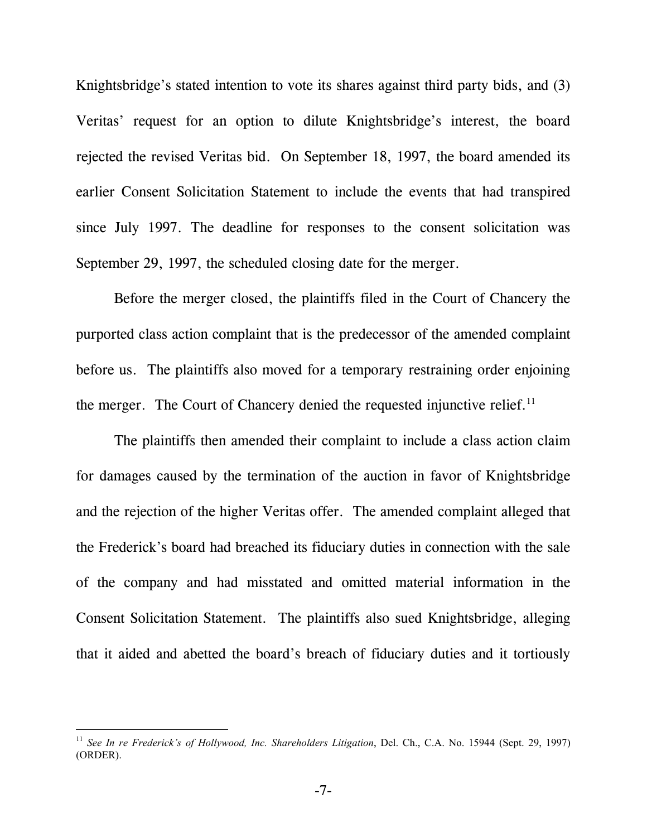Knightsbridge's stated intention to vote its shares against third party bids, and (3) Veritas' request for an option to dilute Knightsbridge's interest, the board rejected the revised Veritas bid. On September 18, 1997, the board amended its earlier Consent Solicitation Statement to include the events that had transpired since July 1997. The deadline for responses to the consent solicitation was September 29, 1997, the scheduled closing date for the merger.

Before the merger closed, the plaintiffs filed in the Court of Chancery the purported class action complaint that is the predecessor of the amended complaint before us. The plaintiffs also moved for a temporary restraining order enjoining the merger. The Court of Chancery denied the requested injunctive relief.<sup>11</sup>

The plaintiffs then amended their complaint to include a class action claim for damages caused by the termination of the auction in favor of Knightsbridge and the rejection of the higher Veritas offer. The amended complaint alleged that the Frederick's board had breached its fiduciary duties in connection with the sale of the company and had misstated and omitted material information in the Consent Solicitation Statement. The plaintiffs also sued Knightsbridge, alleging that it aided and abetted the board's breach of fiduciary duties and it tortiously

<sup>&</sup>lt;sup>11</sup> See In re Frederick's of Hollywood, Inc. Shareholders Litigation, Del. Ch., C.A. No. 15944 (Sept. 29, 1997) (ORDER).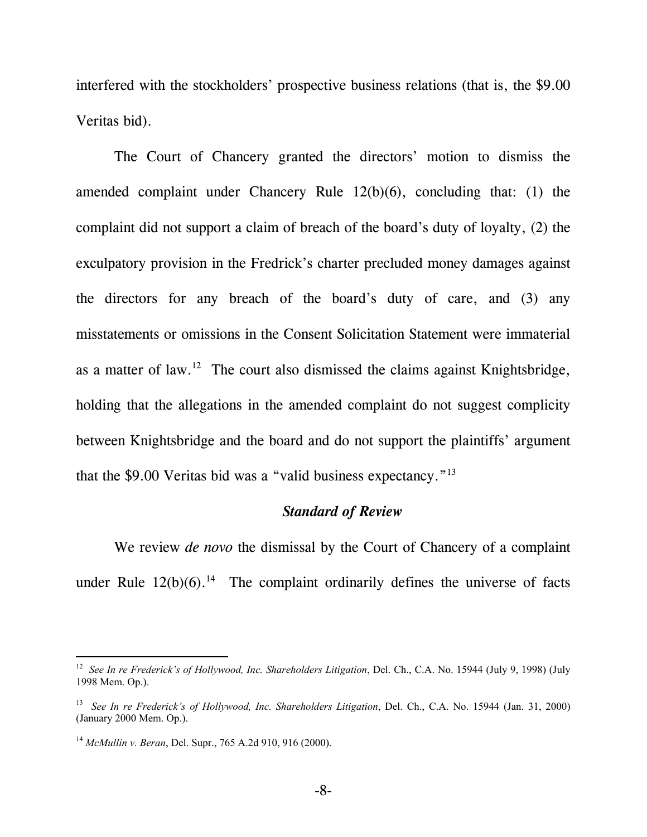interfered with the stockholders' prospective business relations (that is, the \$9.00 Veritas bid).

The Court of Chancery granted the directors' motion to dismiss the amended complaint under Chancery Rule 12(b)(6), concluding that: (1) the complaint did not support a claim of breach of the board's duty of loyalty, (2) the exculpatory provision in the Fredrick's charter precluded money damages against the directors for any breach of the board's duty of care, and (3) any misstatements or omissions in the Consent Solicitation Statement were immaterial as a matter of law.<sup>12</sup> The court also dismissed the claims against Knightsbridge, holding that the allegations in the amended complaint do not suggest complicity between Knightsbridge and the board and do not support the plaintiffs' argument that the \$9.00 Veritas bid was a "valid business expectancy."13

### *Standard of Review*

We review *de novo* the dismissal by the Court of Chancery of a complaint under Rule  $12(b)(6)$ .<sup>14</sup> The complaint ordinarily defines the universe of facts

<sup>&</sup>lt;sup>12</sup> *See In re Frederick's of Hollywood, Inc. Shareholders Litigation, Del. Ch., C.A. No. 15944 (July 9, 1998) (July* 1998 Mem. Op.).

<sup>13</sup> *See In re Frederick's of Hollywood, Inc. Shareholders Litigation*, Del. Ch., C.A. No. 15944 (Jan. 31, 2000) (January 2000 Mem. Op.).

<sup>14</sup> *McMullin v. Beran*, Del. Supr., 765 A.2d 910, 916 (2000).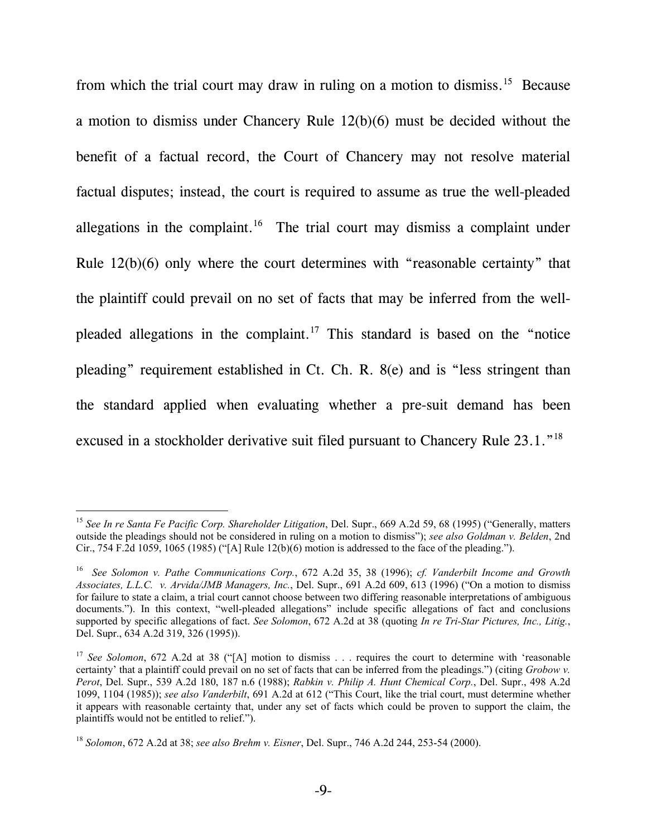from which the trial court may draw in ruling on a motion to dismiss.15 Because a motion to dismiss under Chancery Rule 12(b)(6) must be decided without the benefit of a factual record, the Court of Chancery may not resolve material factual disputes; instead, the court is required to assume as true the well-pleaded allegations in the complaint.<sup>16</sup> The trial court may dismiss a complaint under Rule 12(b)(6) only where the court determines with "reasonable certainty" that the plaintiff could prevail on no set of facts that may be inferred from the wellpleaded allegations in the complaint.17 This standard is based on the "notice pleading" requirement established in Ct. Ch. R. 8(e) and is "less stringent than the standard applied when evaluating whether a pre-suit demand has been excused in a stockholder derivative suit filed pursuant to Chancery Rule 23.1."18

<sup>15</sup> *See In re Santa Fe Pacific Corp. Shareholder Litigation*, Del. Supr., 669 A.2d 59, 68 (1995) ("Generally, matters outside the pleadings should not be considered in ruling on a motion to dismiss"); *see also Goldman v. Belden*, 2nd Cir., 754 F.2d 1059, 1065 (1985) ("[A] Rule 12(b)(6) motion is addressed to the face of the pleading.").

<sup>16</sup> *See Solomon v. Pathe Communications Corp.*, 672 A.2d 35, 38 (1996); *cf. Vanderbilt Income and Growth Associates, L.L.C. v. Arvida/JMB Managers, Inc.*, Del. Supr., 691 A.2d 609, 613 (1996) ("On a motion to dismiss for failure to state a claim, a trial court cannot choose between two differing reasonable interpretations of ambiguous documents."). In this context, "well-pleaded allegations" include specific allegations of fact and conclusions supported by specific allegations of fact. *See Solomon*, 672 A.2d at 38 (quoting *In re Tri-Star Pictures, Inc., Litig.*, Del. Supr., 634 A.2d 319, 326 (1995)).

<sup>&</sup>lt;sup>17</sup> *See Solomon*, 672 A.2d at 38 ("[A] motion to dismiss . . . requires the court to determine with 'reasonable certainty' that a plaintiff could prevail on no set of facts that can be inferred from the pleadings.") (citing *Grobow v. Perot*, Del. Supr., 539 A.2d 180, 187 n.6 (1988); *Rabkin v. Philip A. Hunt Chemical Corp.*, Del. Supr., 498 A.2d 1099, 1104 (1985)); *see also Vanderbilt*, 691 A.2d at 612 ("This Court, like the trial court, must determine whether it appears with reasonable certainty that, under any set of facts which could be proven to support the claim, the plaintiffs would not be entitled to relief.").

<sup>18</sup> *Solomon*, 672 A.2d at 38; *see also Brehm v. Eisner*, Del. Supr., 746 A.2d 244, 253-54 (2000).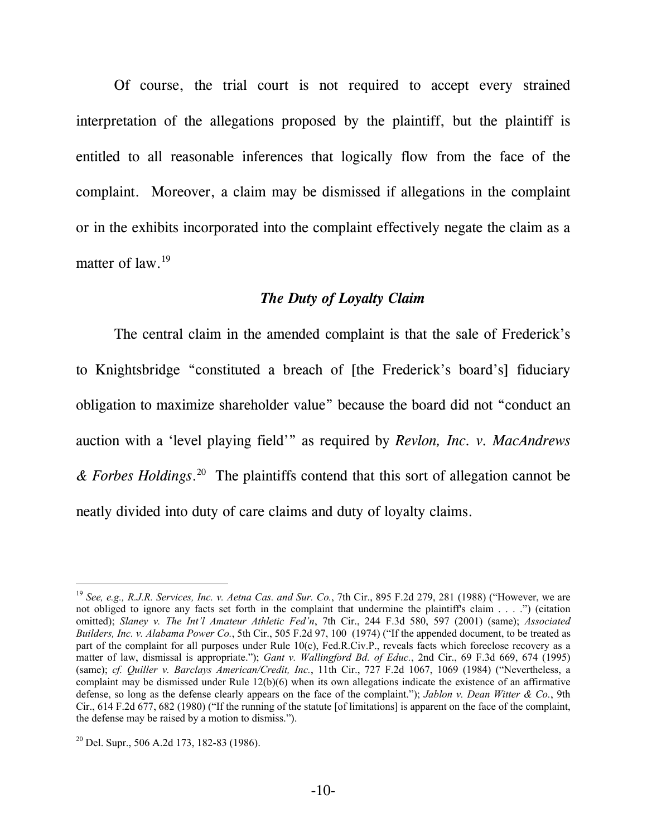Of course, the trial court is not required to accept every strained interpretation of the allegations proposed by the plaintiff, but the plaintiff is entitled to all reasonable inferences that logically flow from the face of the complaint. Moreover, a claim may be dismissed if allegations in the complaint or in the exhibits incorporated into the complaint effectively negate the claim as a matter of law.<sup>19</sup>

## *The Duty of Loyalty Claim*

The central claim in the amended complaint is that the sale of Frederick's to Knightsbridge "constituted a breach of [the Frederick's board's] fiduciary obligation to maximize shareholder value" because the board did not "conduct an auction with a 'level playing field'" as required by *Revlon, Inc. v. MacAndrews & Forbes Holdings*. 20 The plaintiffs contend that this sort of allegation cannot be neatly divided into duty of care claims and duty of loyalty claims.

<sup>19</sup> *See, e.g., R.J.R. Services, Inc. v. Aetna Cas. and Sur. Co.*, 7th Cir., 895 F.2d 279, 281 (1988) ("However, we are not obliged to ignore any facts set forth in the complaint that undermine the plaintiff's claim . . . .") (citation omitted); *Slaney v. The Int'l Amateur Athletic Fed'n*, 7th Cir., 244 F.3d 580, 597 (2001) (same); *Associated Builders, Inc. v. Alabama Power Co.*, 5th Cir., 505 F.2d 97, 100 (1974) ("If the appended document, to be treated as part of the complaint for all purposes under Rule 10(c), Fed.R.Civ.P., reveals facts which foreclose recovery as a matter of law, dismissal is appropriate."); *Gant v. Wallingford Bd. of Educ.*, 2nd Cir., 69 F.3d 669, 674 (1995) (same); *cf. Quiller v. Barclays American/Credit, Inc.*, 11th Cir., 727 F.2d 1067, 1069 (1984) ("Nevertheless, a complaint may be dismissed under Rule 12(b)(6) when its own allegations indicate the existence of an affirmative defense, so long as the defense clearly appears on the face of the complaint."); *Jablon v. Dean Witter & Co.*, 9th Cir., 614 F.2d 677, 682 (1980) ("If the running of the statute [of limitations] is apparent on the face of the complaint, the defense may be raised by a motion to dismiss.").

 $20$  Del. Supr., 506 A.2d 173, 182-83 (1986).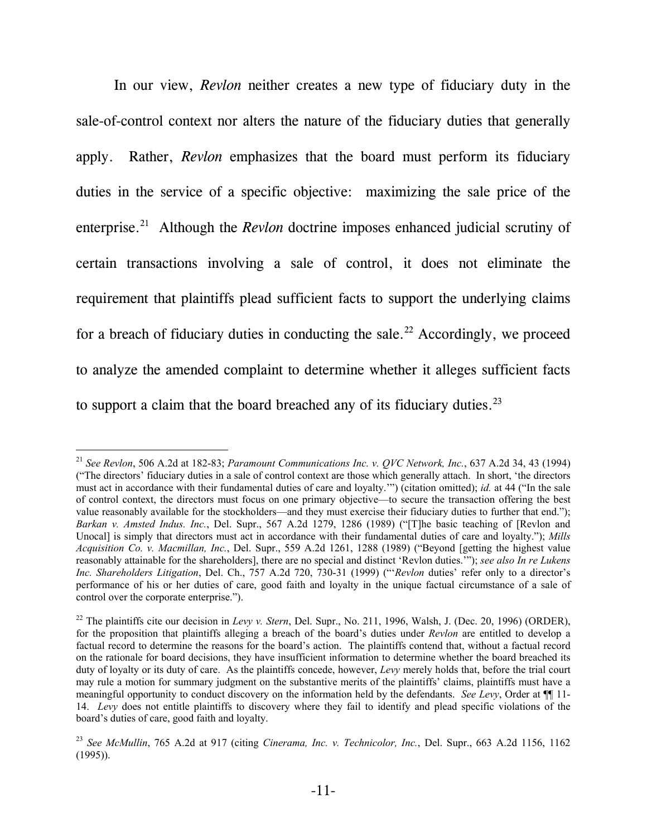In our view, *Revlon* neither creates a new type of fiduciary duty in the sale-of-control context nor alters the nature of the fiduciary duties that generally apply. Rather, *Revlon* emphasizes that the board must perform its fiduciary duties in the service of a specific objective: maximizing the sale price of the enterprise.<sup>21</sup> Although the *Revlon* doctrine imposes enhanced judicial scrutiny of certain transactions involving a sale of control, it does not eliminate the requirement that plaintiffs plead sufficient facts to support the underlying claims for a breach of fiduciary duties in conducting the sale.<sup>22</sup> Accordingly, we proceed to analyze the amended complaint to determine whether it alleges sufficient facts to support a claim that the board breached any of its fiduciary duties.<sup>23</sup>

<sup>21</sup> *See Revlon*, 506 A.2d at 182-83; *Paramount Communications Inc. v. QVC Network, Inc.*, 637 A.2d 34, 43 (1994) ("The directors' fiduciary duties in a sale of control context are those which generally attach. In short, 'the directors must act in accordance with their fundamental duties of care and loyalty.'") (citation omitted); *id.* at 44 ("In the sale of control context, the directors must focus on one primary objective—to secure the transaction offering the best value reasonably available for the stockholders—and they must exercise their fiduciary duties to further that end."); *Barkan v. Amsted Indus. Inc.*, Del. Supr., 567 A.2d 1279, 1286 (1989) ("[T]he basic teaching of [Revlon and Unocall is simply that directors must act in accordance with their fundamental duties of care and loyalty."); *Mills Acquisition Co. v. Macmillan, Inc.*, Del. Supr., 559 A.2d 1261, 1288 (1989) ("Beyond [getting the highest value reasonably attainable for the shareholders], there are no special and distinct 'Revlon duties.'"); *see also In re Lukens Inc. Shareholders Litigation*, Del. Ch., 757 A.2d 720, 730-31 (1999) ("'*Revlon* duties' refer only to a director's performance of his or her duties of care, good faith and loyalty in the unique factual circumstance of a sale of control over the corporate enterprise.").

<sup>&</sup>lt;sup>22</sup> The plaintiffs cite our decision in *Levy v. Stern*, Del. Supr., No. 211, 1996, Walsh, J. (Dec. 20, 1996) (ORDER), for the proposition that plaintiffs alleging a breach of the board's duties under *Revlon* are entitled to develop a factual record to determine the reasons for the board's action. The plaintiffs contend that, without a factual record on the rationale for board decisions, they have insufficient information to determine whether the board breached its duty of loyalty or its duty of care. As the plaintiffs concede, however, *Levy* merely holds that, before the trial court may rule a motion for summary judgment on the substantive merits of the plaintiffs' claims, plaintiffs must have a meaningful opportunity to conduct discovery on the information held by the defendants. *See Levy*, Order at ¶¶ 11- 14. *Levy* does not entitle plaintiffs to discovery where they fail to identify and plead specific violations of the board's duties of care, good faith and loyalty.

<sup>23</sup> *See McMullin*, 765 A.2d at 917 (citing *Cinerama, Inc. v. Technicolor, Inc.*, Del. Supr., 663 A.2d 1156, 1162  $(1995)$ ).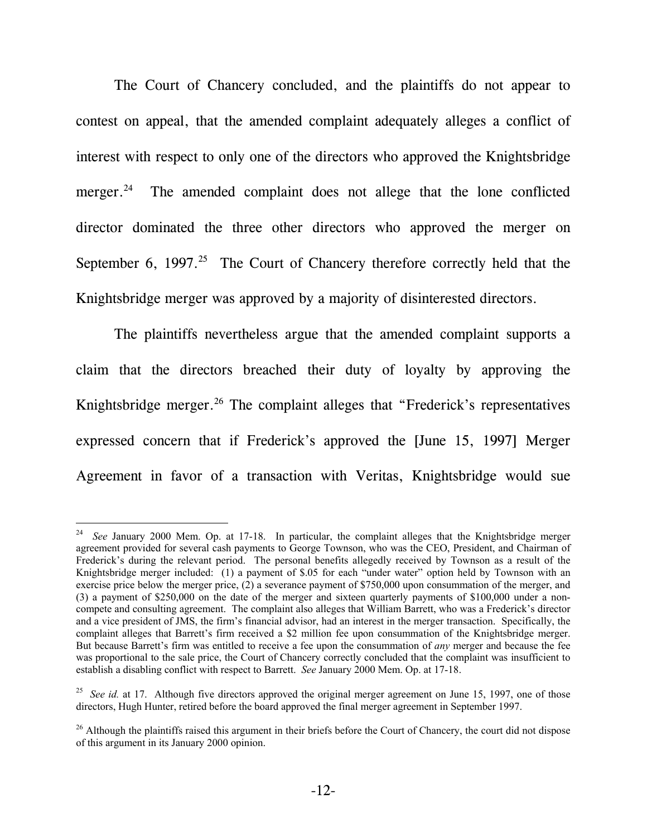The Court of Chancery concluded, and the plaintiffs do not appear to contest on appeal, that the amended complaint adequately alleges a conflict of interest with respect to only one of the directors who approved the Knightsbridge merger.<sup>24</sup> The amended complaint does not allege that the lone conflicted director dominated the three other directors who approved the merger on September 6, 1997.<sup>25</sup> The Court of Chancery therefore correctly held that the Knightsbridge merger was approved by a majority of disinterested directors.

The plaintiffs nevertheless argue that the amended complaint supports a claim that the directors breached their duty of loyalty by approving the Knightsbridge merger.<sup>26</sup> The complaint alleges that "Frederick's representatives expressed concern that if Frederick's approved the [June 15, 1997] Merger Agreement in favor of a transaction with Veritas, Knightsbridge would sue

<sup>&</sup>lt;sup>24</sup> *See January 2000 Mem. Op. at 17-18.* In particular, the complaint alleges that the Knightsbridge merger agreement provided for several cash payments to George Townson, who was the CEO, President, and Chairman of Frederick's during the relevant period. The personal benefits allegedly received by Townson as a result of the Knightsbridge merger included: (1) a payment of \$.05 for each "under water" option held by Townson with an exercise price below the merger price, (2) a severance payment of \$750,000 upon consummation of the merger, and (3) a payment of \$250,000 on the date of the merger and sixteen quarterly payments of \$100,000 under a noncompete and consulting agreement. The complaint also alleges that William Barrett, who was a Frederick's director and a vice president of JMS, the firm's financial advisor, had an interest in the merger transaction. Specifically, the complaint alleges that Barrett's firm received a \$2 million fee upon consummation of the Knightsbridge merger. But because Barrett's firm was entitled to receive a fee upon the consummation of *any* merger and because the fee was proportional to the sale price, the Court of Chancery correctly concluded that the complaint was insufficient to establish a disabling conflict with respect to Barrett. *See* January 2000 Mem. Op. at 17-18.

<sup>&</sup>lt;sup>25</sup> *See id.* at 17. Although five directors approved the original merger agreement on June 15, 1997, one of those directors, Hugh Hunter, retired before the board approved the final merger agreement in September 1997.

 $26$  Although the plaintiffs raised this argument in their briefs before the Court of Chancery, the court did not dispose of this argument in its January 2000 opinion.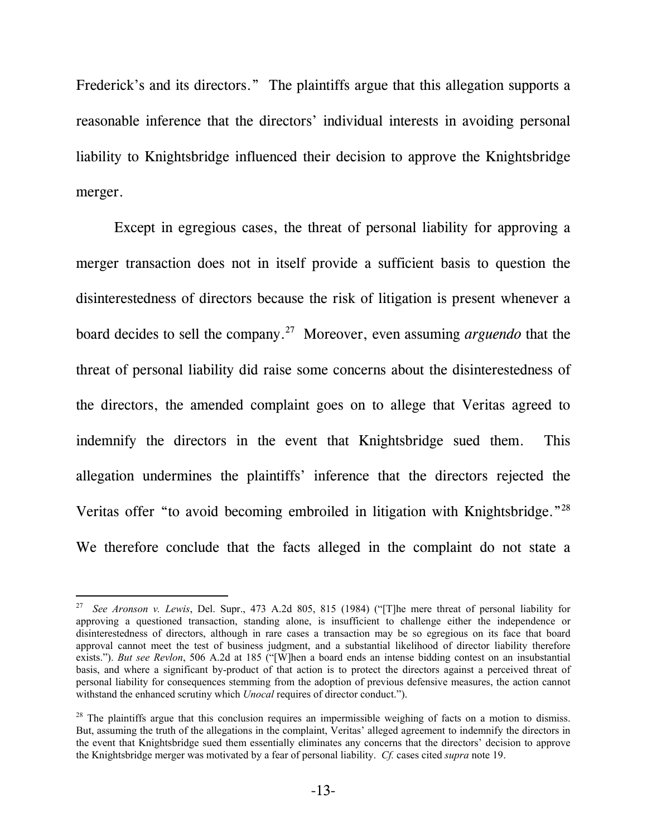Frederick's and its directors." The plaintiffs argue that this allegation supports a reasonable inference that the directors' individual interests in avoiding personal liability to Knightsbridge influenced their decision to approve the Knightsbridge merger.

Except in egregious cases, the threat of personal liability for approving a merger transaction does not in itself provide a sufficient basis to question the disinterestedness of directors because the risk of litigation is present whenever a board decides to sell the company.27 Moreover, even assuming *arguendo* that the threat of personal liability did raise some concerns about the disinterestedness of the directors, the amended complaint goes on to allege that Veritas agreed to indemnify the directors in the event that Knightsbridge sued them. This allegation undermines the plaintiffs' inference that the directors rejected the Veritas offer "to avoid becoming embroiled in litigation with Knightsbridge."<sup>28</sup> We therefore conclude that the facts alleged in the complaint do not state a

l

<sup>27</sup> *See Aronson v. Lewis*, Del. Supr., 473 A.2d 805, 815 (1984) ("[T]he mere threat of personal liability for approving a questioned transaction, standing alone, is insufficient to challenge either the independence or disinterestedness of directors, although in rare cases a transaction may be so egregious on its face that board approval cannot meet the test of business judgment, and a substantial likelihood of director liability therefore exists."). *But see Revlon*, 506 A.2d at 185 ("[W]hen a board ends an intense bidding contest on an insubstantial basis, and where a significant by-product of that action is to protect the directors against a perceived threat of personal liability for consequences stemming from the adoption of previous defensive measures, the action cannot withstand the enhanced scrutiny which *Unocal* requires of director conduct.").

 $^{28}$  The plaintiffs argue that this conclusion requires an impermissible weighing of facts on a motion to dismiss. But, assuming the truth of the allegations in the complaint, Veritas' alleged agreement to indemnify the directors in the event that Knightsbridge sued them essentially eliminates any concerns that the directors' decision to approve the Knightsbridge merger was motivated by a fear of personal liability. *Cf.* cases cited *supra* note 19.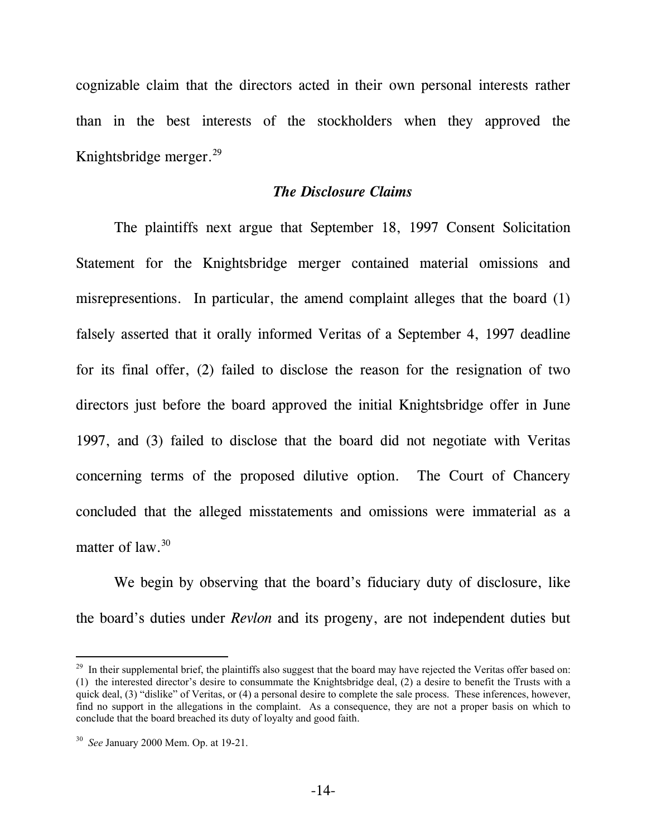cognizable claim that the directors acted in their own personal interests rather than in the best interests of the stockholders when they approved the Knightsbridge merger.29

#### *The Disclosure Claims*

The plaintiffs next argue that September 18, 1997 Consent Solicitation Statement for the Knightsbridge merger contained material omissions and misrepresentions. In particular, the amend complaint alleges that the board (1) falsely asserted that it orally informed Veritas of a September 4, 1997 deadline for its final offer, (2) failed to disclose the reason for the resignation of two directors just before the board approved the initial Knightsbridge offer in June 1997, and (3) failed to disclose that the board did not negotiate with Veritas concerning terms of the proposed dilutive option. The Court of Chancery concluded that the alleged misstatements and omissions were immaterial as a matter of law.<sup>30</sup>

We begin by observing that the board's fiduciary duty of disclosure, like the board's duties under *Revlon* and its progeny, are not independent duties but

<sup>&</sup>lt;sup>29</sup> In their supplemental brief, the plaintiffs also suggest that the board may have rejected the Veritas offer based on: (1) the interested director's desire to consummate the Knightsbridge deal, (2) a desire to benefit the Trusts with a quick deal, (3) "dislike" of Veritas, or (4) a personal desire to complete the sale process. These inferences, however, find no support in the allegations in the complaint. As a consequence, they are not a proper basis on which to conclude that the board breached its duty of loyalty and good faith.

<sup>30</sup> *See* January 2000 Mem. Op. at 19-21.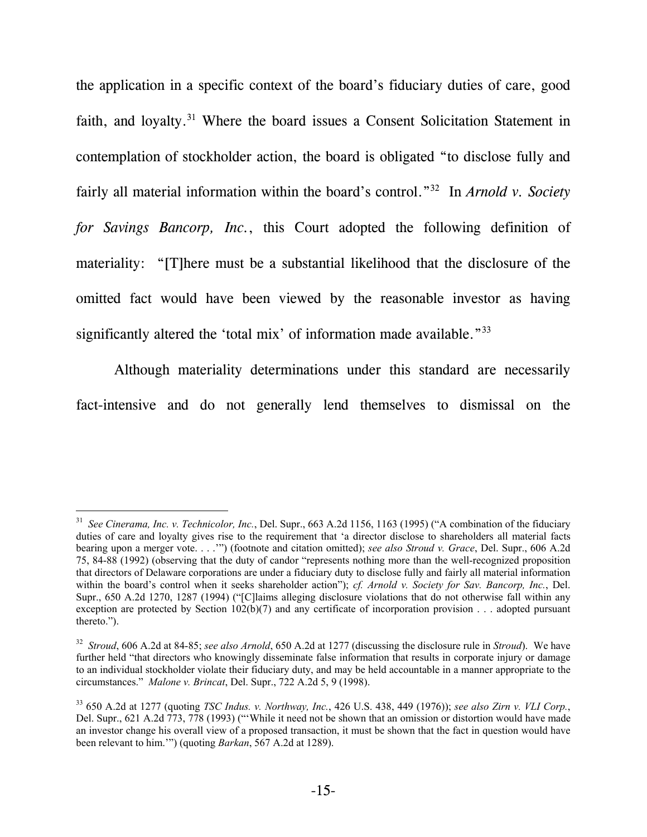the application in a specific context of the board's fiduciary duties of care, good faith, and loyalty.<sup>31</sup> Where the board issues a Consent Solicitation Statement in contemplation of stockholder action, the board is obligated "to disclose fully and fairly all material information within the board's control."32 In *Arnold v. Society for Savings Bancorp, Inc.*, this Court adopted the following definition of materiality: "[T]here must be a substantial likelihood that the disclosure of the omitted fact would have been viewed by the reasonable investor as having significantly altered the 'total mix' of information made available."<sup>33</sup>

Although materiality determinations under this standard are necessarily fact-intensive and do not generally lend themselves to dismissal on the

<sup>31</sup> *See Cinerama, Inc. v. Technicolor, Inc.*, Del. Supr., 663 A.2d 1156, 1163 (1995) ("A combination of the fiduciary duties of care and loyalty gives rise to the requirement that 'a director disclose to shareholders all material facts bearing upon a merger vote. . . .'") (footnote and citation omitted); *see also Stroud v. Grace*, Del. Supr., 606 A.2d 75, 84-88 (1992) (observing that the duty of candor "represents nothing more than the well-recognized proposition that directors of Delaware corporations are under a fiduciary duty to disclose fully and fairly all material information within the board's control when it seeks shareholder action"); *cf. Arnold v. Society for Sav. Bancorp, Inc.*, Del. Supr., 650 A.2d 1270, 1287 (1994) ("[C]laims alleging disclosure violations that do not otherwise fall within any exception are protected by Section 102(b)(7) and any certificate of incorporation provision . . . adopted pursuant thereto.").

<sup>32</sup> *Stroud*, 606 A.2d at 84-85; *see also Arnold*, 650 A.2d at 1277 (discussing the disclosure rule in *Stroud*). We have further held "that directors who knowingly disseminate false information that results in corporate injury or damage to an individual stockholder violate their fiduciary duty, and may be held accountable in a manner appropriate to the circumstances." *Malone v. Brincat*, Del. Supr., 722 A.2d 5, 9 (1998).

<sup>33 650</sup> A.2d at 1277 (quoting *TSC Indus. v. Northway, Inc.*, 426 U.S. 438, 449 (1976)); *see also Zirn v. VLI Corp.*, Del. Supr., 621 A.2d 773, 778 (1993) ("'While it need not be shown that an omission or distortion would have made an investor change his overall view of a proposed transaction, it must be shown that the fact in question would have been relevant to him.'") (quoting *Barkan*, 567 A.2d at 1289).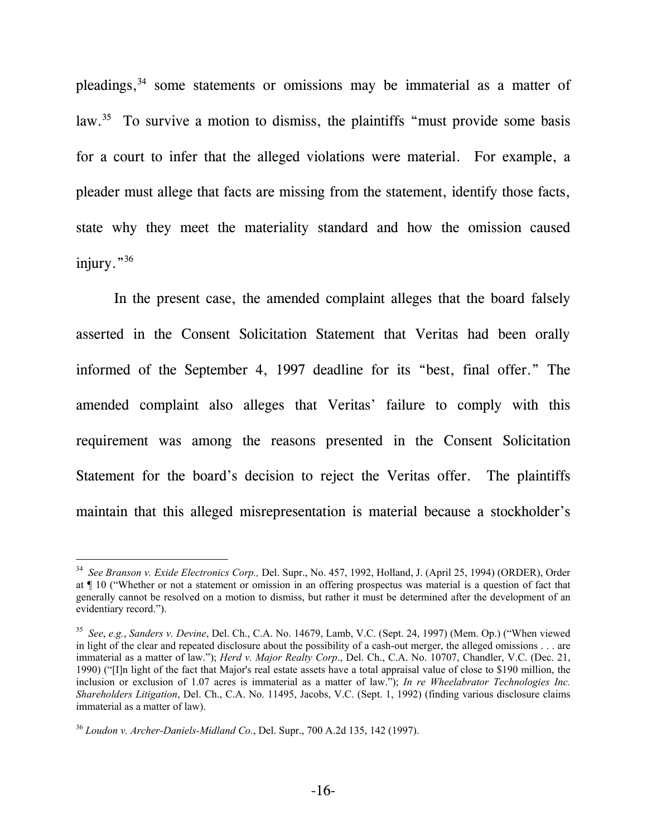pleadings,<sup>34</sup> some statements or omissions may be immaterial as a matter of law.<sup>35</sup> To survive a motion to dismiss, the plaintiffs "must provide some basis for a court to infer that the alleged violations were material. For example, a pleader must allege that facts are missing from the statement, identify those facts, state why they meet the materiality standard and how the omission caused injury."<sup>36</sup>

In the present case, the amended complaint alleges that the board falsely asserted in the Consent Solicitation Statement that Veritas had been orally informed of the September 4, 1997 deadline for its "best, final offer." The amended complaint also alleges that Veritas' failure to comply with this requirement was among the reasons presented in the Consent Solicitation Statement for the board's decision to reject the Veritas offer. The plaintiffs maintain that this alleged misrepresentation is material because a stockholder's

<sup>34</sup> *See Branson v. Exide Electronics Corp.,* Del. Supr., No. 457, 1992, Holland, J. (April 25, 1994) (ORDER), Order at ¶ 10 ("Whether or not a statement or omission in an offering prospectus was material is a question of fact that generally cannot be resolved on a motion to dismiss, but rather it must be determined after the development of an evidentiary record.").

<sup>35</sup> *See*, *e.g.*, *Sanders v. Devine*, Del. Ch., C.A. No. 14679, Lamb, V.C. (Sept. 24, 1997) (Mem. Op.) ("When viewed in light of the clear and repeated disclosure about the possibility of a cash-out merger, the alleged omissions . . . are immaterial as a matter of law."); *Herd v. Major Realty Corp*., Del. Ch., C.A. No. 10707, Chandler, V.C. (Dec. 21, 1990) ("[I]n light of the fact that Major's real estate assets have a total appraisal value of close to \$190 million, the inclusion or exclusion of 1.07 acres is immaterial as a matter of law."); *In re Wheelabrator Technologies Inc. Shareholders Litigation*, Del. Ch., C.A. No. 11495, Jacobs, V.C. (Sept. 1, 1992) (finding various disclosure claims immaterial as a matter of law).

<sup>36</sup> *Loudon v. Archer-Daniels-Midland Co.*, Del. Supr., 700 A.2d 135, 142 (1997).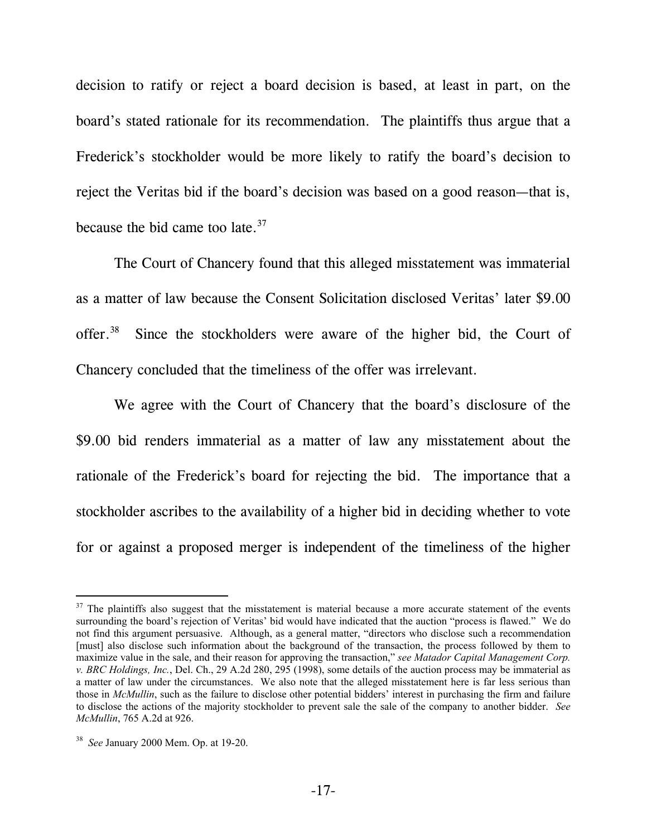decision to ratify or reject a board decision is based, at least in part, on the board's stated rationale for its recommendation. The plaintiffs thus argue that a Frederick's stockholder would be more likely to ratify the board's decision to reject the Veritas bid if the board's decision was based on a good reason—that is, because the bid came too late. $37$ 

The Court of Chancery found that this alleged misstatement was immaterial as a matter of law because the Consent Solicitation disclosed Veritas' later \$9.00 offer.<sup>38</sup> Since the stockholders were aware of the higher bid, the Court of Chancery concluded that the timeliness of the offer was irrelevant.

We agree with the Court of Chancery that the board's disclosure of the \$9.00 bid renders immaterial as a matter of law any misstatement about the rationale of the Frederick's board for rejecting the bid. The importance that a stockholder ascribes to the availability of a higher bid in deciding whether to vote for or against a proposed merger is independent of the timeliness of the higher

 $37$  The plaintiffs also suggest that the misstatement is material because a more accurate statement of the events surrounding the board's rejection of Veritas' bid would have indicated that the auction "process is flawed." We do not find this argument persuasive. Although, as a general matter, "directors who disclose such a recommendation [must] also disclose such information about the background of the transaction, the process followed by them to maximize value in the sale, and their reason for approving the transaction," *see Matador Capital Management Corp. v. BRC Holdings, Inc.*, Del. Ch., 29 A.2d 280, 295 (1998), some details of the auction process may be immaterial as a matter of law under the circumstances. We also note that the alleged misstatement here is far less serious than those in *McMullin*, such as the failure to disclose other potential bidders' interest in purchasing the firm and failure to disclose the actions of the majority stockholder to prevent sale the sale of the company to another bidder. *See McMullin*, 765 A.2d at 926.

<sup>38</sup> *See* January 2000 Mem. Op. at 19-20.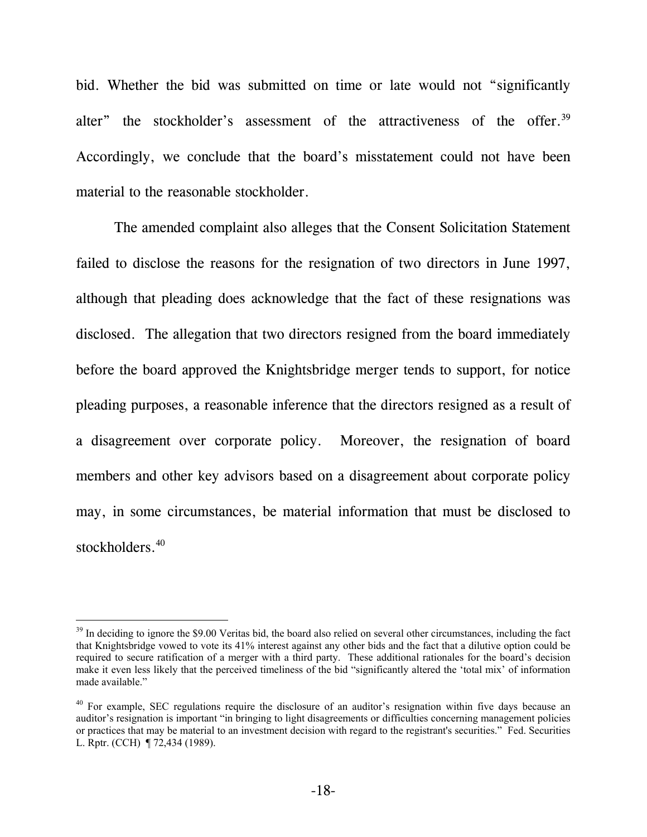bid. Whether the bid was submitted on time or late would not "significantly alter" the stockholder's assessment of the attractiveness of the offer.<sup>39</sup> Accordingly, we conclude that the board's misstatement could not have been material to the reasonable stockholder.

The amended complaint also alleges that the Consent Solicitation Statement failed to disclose the reasons for the resignation of two directors in June 1997, although that pleading does acknowledge that the fact of these resignations was disclosed. The allegation that two directors resigned from the board immediately before the board approved the Knightsbridge merger tends to support, for notice pleading purposes, a reasonable inference that the directors resigned as a result of a disagreement over corporate policy. Moreover, the resignation of board members and other key advisors based on a disagreement about corporate policy may, in some circumstances, be material information that must be disclosed to stockholders.<sup>40</sup>

<sup>&</sup>lt;sup>39</sup> In deciding to ignore the \$9.00 Veritas bid, the board also relied on several other circumstances, including the fact that Knightsbridge vowed to vote its 41% interest against any other bids and the fact that a dilutive option could be required to secure ratification of a merger with a third party. These additional rationales for the board's decision make it even less likely that the perceived timeliness of the bid "significantly altered the 'total mix' of information made available."

<sup>&</sup>lt;sup>40</sup> For example, SEC regulations require the disclosure of an auditor's resignation within five days because an auditor's resignation is important "in bringing to light disagreements or difficulties concerning management policies or practices that may be material to an investment decision with regard to the registrant's securities." Fed. Securities L. Rptr. (CCH) ¶ 72,434 (1989).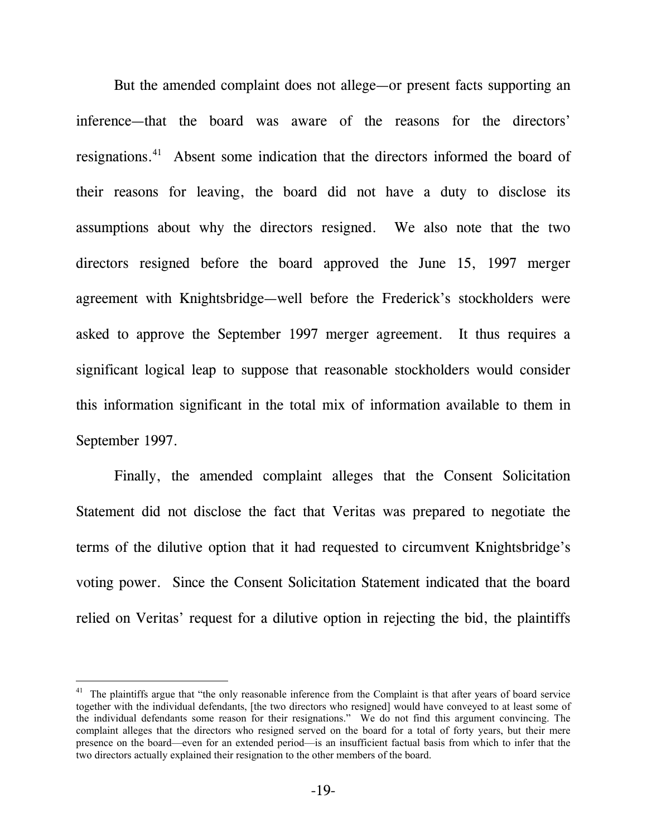But the amended complaint does not allege—or present facts supporting an inference—that the board was aware of the reasons for the directors' resignations.41 Absent some indication that the directors informed the board of their reasons for leaving, the board did not have a duty to disclose its assumptions about why the directors resigned. We also note that the two directors resigned before the board approved the June 15, 1997 merger agreement with Knightsbridge—well before the Frederick's stockholders were asked to approve the September 1997 merger agreement. It thus requires a significant logical leap to suppose that reasonable stockholders would consider this information significant in the total mix of information available to them in September 1997.

Finally, the amended complaint alleges that the Consent Solicitation Statement did not disclose the fact that Veritas was prepared to negotiate the terms of the dilutive option that it had requested to circumvent Knightsbridge's voting power. Since the Consent Solicitation Statement indicated that the board relied on Veritas' request for a dilutive option in rejecting the bid, the plaintiffs

<sup>&</sup>lt;sup>41</sup> The plaintiffs argue that "the only reasonable inference from the Complaint is that after years of board service together with the individual defendants, [the two directors who resigned] would have conveyed to at least some of the individual defendants some reason for their resignations." We do not find this argument convincing. The complaint alleges that the directors who resigned served on the board for a total of forty years, but their mere presence on the board—even for an extended period—is an insufficient factual basis from which to infer that the two directors actually explained their resignation to the other members of the board.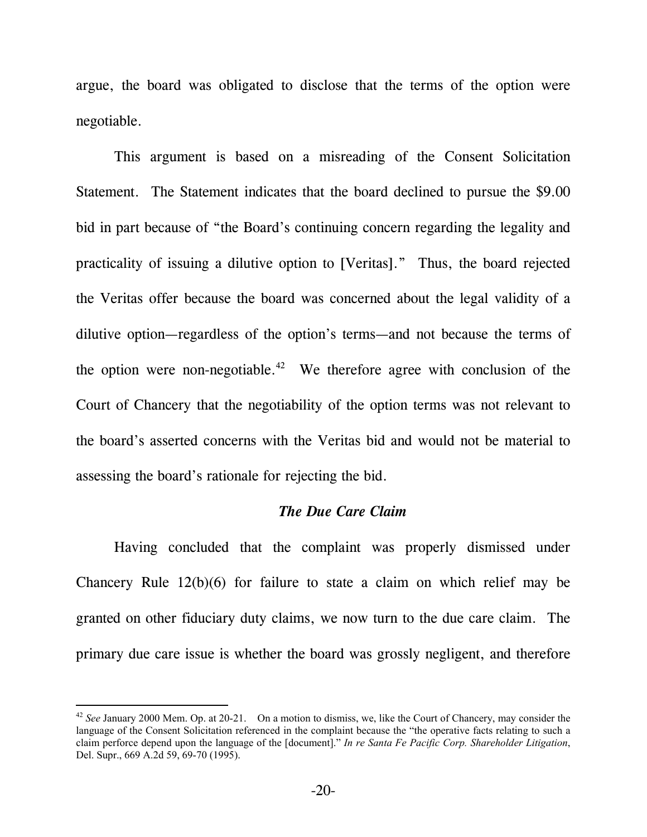argue, the board was obligated to disclose that the terms of the option were negotiable.

This argument is based on a misreading of the Consent Solicitation Statement. The Statement indicates that the board declined to pursue the \$9.00 bid in part because of "the Board's continuing concern regarding the legality and practicality of issuing a dilutive option to [Veritas]." Thus, the board rejected the Veritas offer because the board was concerned about the legal validity of a dilutive option—regardless of the option's terms—and not because the terms of the option were non-negotiable.<sup>42</sup> We therefore agree with conclusion of the Court of Chancery that the negotiability of the option terms was not relevant to the board's asserted concerns with the Veritas bid and would not be material to assessing the board's rationale for rejecting the bid.

### *The Due Care Claim*

Having concluded that the complaint was properly dismissed under Chancery Rule 12(b)(6) for failure to state a claim on which relief may be granted on other fiduciary duty claims, we now turn to the due care claim. The primary due care issue is whether the board was grossly negligent, and therefore

<sup>42</sup> *See* January 2000 Mem. Op. at 20-21. On a motion to dismiss, we, like the Court of Chancery, may consider the language of the Consent Solicitation referenced in the complaint because the "the operative facts relating to such a claim perforce depend upon the language of the [document]." *In re Santa Fe Pacific Corp. Shareholder Litigation*, Del. Supr., 669 A.2d 59, 69-70 (1995).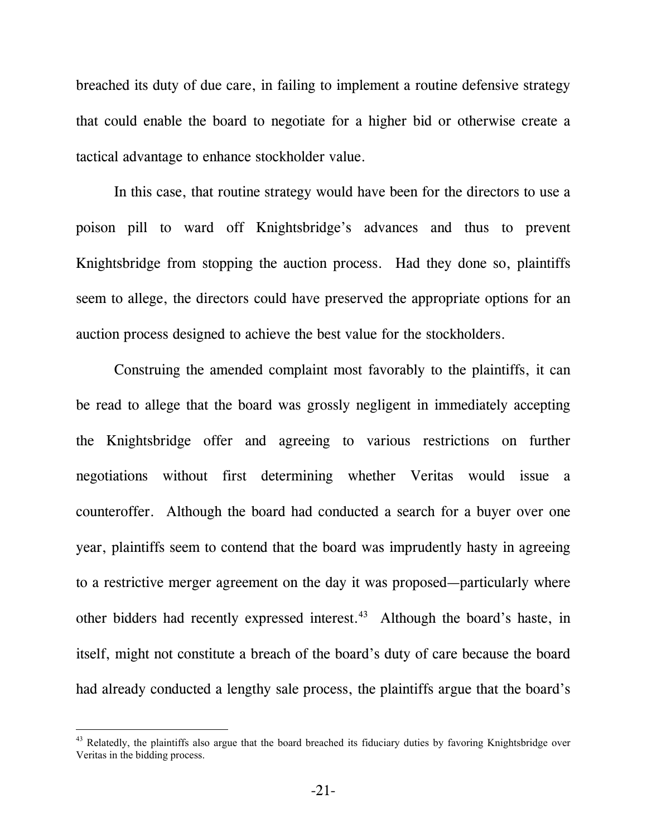breached its duty of due care, in failing to implement a routine defensive strategy that could enable the board to negotiate for a higher bid or otherwise create a tactical advantage to enhance stockholder value.

In this case, that routine strategy would have been for the directors to use a poison pill to ward off Knightsbridge's advances and thus to prevent Knightsbridge from stopping the auction process. Had they done so, plaintiffs seem to allege, the directors could have preserved the appropriate options for an auction process designed to achieve the best value for the stockholders.

Construing the amended complaint most favorably to the plaintiffs, it can be read to allege that the board was grossly negligent in immediately accepting the Knightsbridge offer and agreeing to various restrictions on further negotiations without first determining whether Veritas would issue a counteroffer. Although the board had conducted a search for a buyer over one year, plaintiffs seem to contend that the board was imprudently hasty in agreeing to a restrictive merger agreement on the day it was proposed—particularly where other bidders had recently expressed interest.<sup>43</sup> Although the board's haste, in itself, might not constitute a breach of the board's duty of care because the board had already conducted a lengthy sale process, the plaintiffs argue that the board's

<sup>&</sup>lt;sup>43</sup> Relatedly, the plaintiffs also argue that the board breached its fiduciary duties by favoring Knightsbridge over Veritas in the bidding process.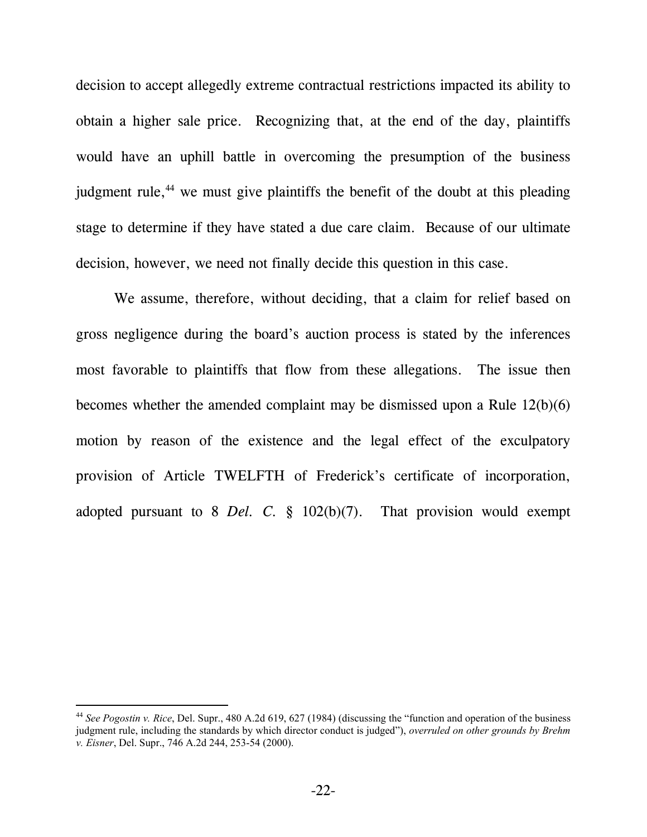decision to accept allegedly extreme contractual restrictions impacted its ability to obtain a higher sale price. Recognizing that, at the end of the day, plaintiffs would have an uphill battle in overcoming the presumption of the business judgment rule, $^{44}$  we must give plaintiffs the benefit of the doubt at this pleading stage to determine if they have stated a due care claim. Because of our ultimate decision, however, we need not finally decide this question in this case.

We assume, therefore, without deciding, that a claim for relief based on gross negligence during the board's auction process is stated by the inferences most favorable to plaintiffs that flow from these allegations. The issue then becomes whether the amended complaint may be dismissed upon a Rule 12(b)(6) motion by reason of the existence and the legal effect of the exculpatory provision of Article TWELFTH of Frederick's certificate of incorporation, adopted pursuant to 8 *Del. C.* § 102(b)(7). That provision would exempt

<sup>44</sup> *See Pogostin v. Rice*, Del. Supr., 480 A.2d 619, 627 (1984) (discussing the "function and operation of the business judgment rule, including the standards by which director conduct is judged"), *overruled on other grounds by Brehm v. Eisner*, Del. Supr., 746 A.2d 244, 253-54 (2000).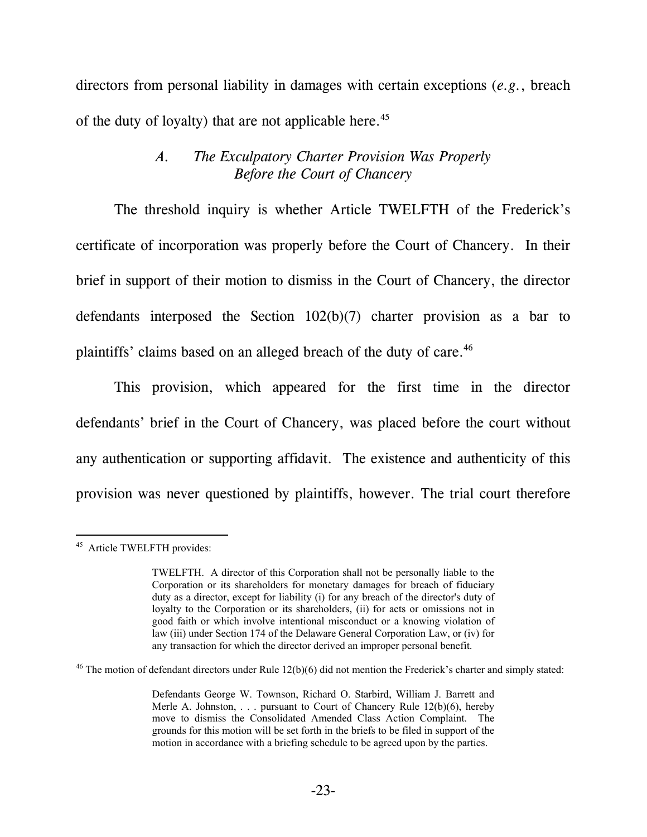directors from personal liability in damages with certain exceptions (*e.g.*, breach of the duty of loyalty) that are not applicable here.<sup>45</sup>

## *A. The Exculpatory Charter Provision Was Properly Before the Court of Chancery*

The threshold inquiry is whether Article TWELFTH of the Frederick's certificate of incorporation was properly before the Court of Chancery. In their brief in support of their motion to dismiss in the Court of Chancery, the director defendants interposed the Section 102(b)(7) charter provision as a bar to plaintiffs' claims based on an alleged breach of the duty of care.<sup>46</sup>

This provision, which appeared for the first time in the director defendants' brief in the Court of Chancery, was placed before the court without any authentication or supporting affidavit. The existence and authenticity of this provision was never questioned by plaintiffs, however. The trial court therefore

<sup>-</sup><sup>45</sup> Article TWELFTH provides:

TWELFTH. A director of this Corporation shall not be personally liable to the Corporation or its shareholders for monetary damages for breach of fiduciary duty as a director, except for liability (i) for any breach of the director's duty of loyalty to the Corporation or its shareholders, (ii) for acts or omissions not in good faith or which involve intentional misconduct or a knowing violation of law (iii) under Section 174 of the Delaware General Corporation Law, or (iv) for any transaction for which the director derived an improper personal benefit.

 $46$  The motion of defendant directors under Rule 12(b)(6) did not mention the Frederick's charter and simply stated:

Defendants George W. Townson, Richard O. Starbird, William J. Barrett and Merle A. Johnston,  $\ldots$  pursuant to Court of Chancery Rule 12(b)(6), hereby move to dismiss the Consolidated Amended Class Action Complaint. The grounds for this motion will be set forth in the briefs to be filed in support of the motion in accordance with a briefing schedule to be agreed upon by the parties.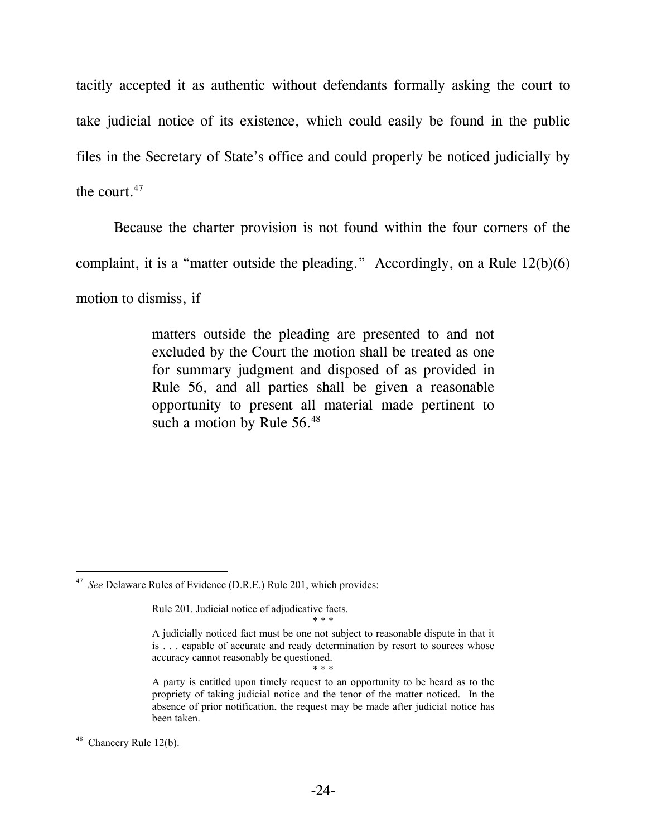tacitly accepted it as authentic without defendants formally asking the court to take judicial notice of its existence, which could easily be found in the public files in the Secretary of State's office and could properly be noticed judicially by the court.47

Because the charter provision is not found within the four corners of the

complaint, it is a "matter outside the pleading." Accordingly, on a Rule 12(b)(6)

motion to dismiss, if

matters outside the pleading are presented to and not excluded by the Court the motion shall be treated as one for summary judgment and disposed of as provided in Rule 56, and all parties shall be given a reasonable opportunity to present all material made pertinent to such a motion by Rule 56.<sup>48</sup>

\* \* \*

 $\overline{a}$ 47 *See* Delaware Rules of Evidence (D.R.E.) Rule 201, which provides:

Rule 201. Judicial notice of adjudicative facts. \* \* \*

A judicially noticed fact must be one not subject to reasonable dispute in that it is . . . capable of accurate and ready determination by resort to sources whose accuracy cannot reasonably be questioned.

A party is entitled upon timely request to an opportunity to be heard as to the propriety of taking judicial notice and the tenor of the matter noticed. In the absence of prior notification, the request may be made after judicial notice has been taken.

 $48$  Chancery Rule 12(b).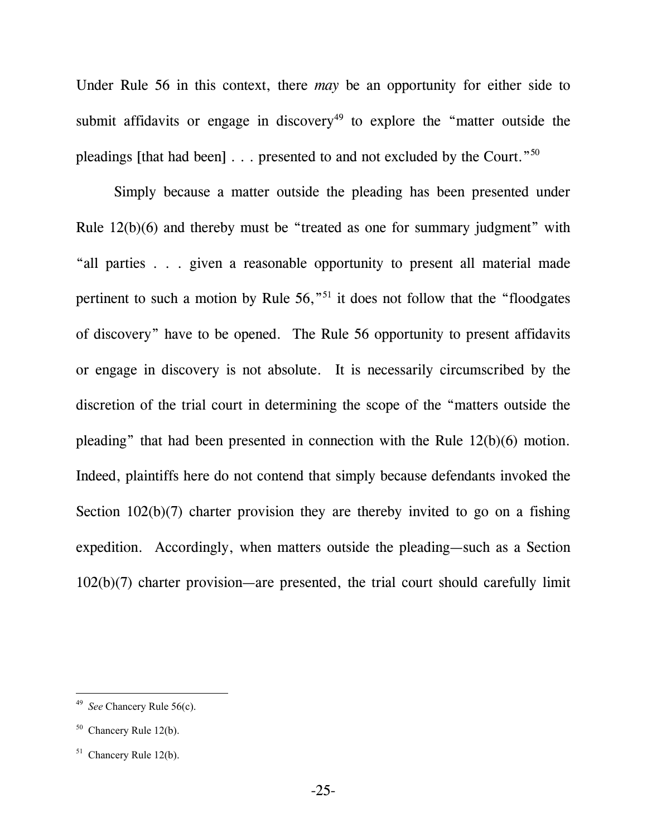Under Rule 56 in this context, there *may* be an opportunity for either side to submit affidavits or engage in discovery<sup>49</sup> to explore the "matter outside the pleadings [that had been] . . . presented to and not excluded by the Court."50

Simply because a matter outside the pleading has been presented under Rule 12(b)(6) and thereby must be "treated as one for summary judgment" with "all parties . . . given a reasonable opportunity to present all material made pertinent to such a motion by Rule  $56$ ,  $51$  it does not follow that the "floodgates" of discovery" have to be opened. The Rule 56 opportunity to present affidavits or engage in discovery is not absolute. It is necessarily circumscribed by the discretion of the trial court in determining the scope of the "matters outside the pleading" that had been presented in connection with the Rule 12(b)(6) motion. Indeed, plaintiffs here do not contend that simply because defendants invoked the Section 102(b)(7) charter provision they are thereby invited to go on a fishing expedition. Accordingly, when matters outside the pleading—such as a Section 102(b)(7) charter provision—are presented, the trial court should carefully limit

<sup>49</sup> *See* Chancery Rule 56(c).

 $50$  Chancery Rule 12(b).

 $51$  Chancery Rule 12(b).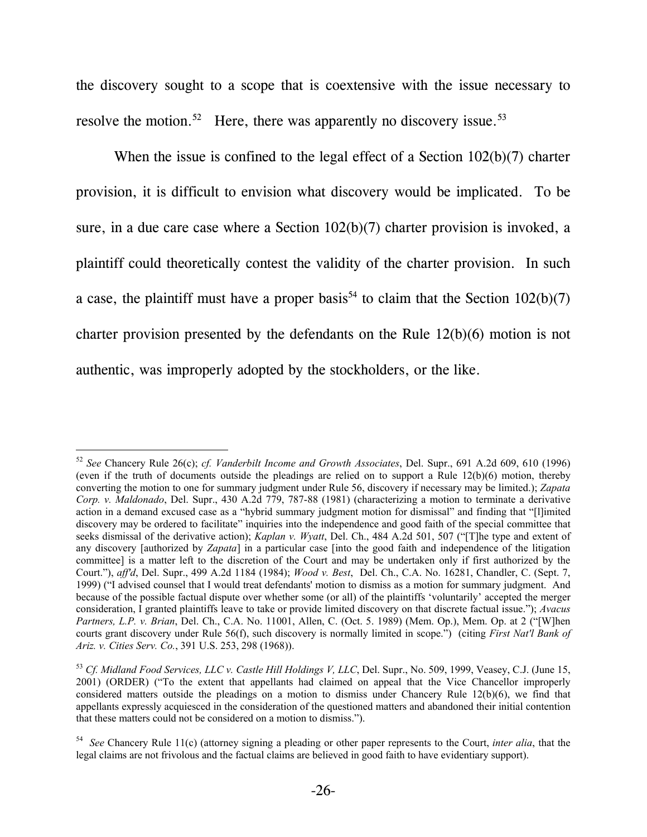the discovery sought to a scope that is coextensive with the issue necessary to resolve the motion.<sup>52</sup> Here, there was apparently no discovery issue.<sup>53</sup>

When the issue is confined to the legal effect of a Section 102(b)(7) charter provision, it is difficult to envision what discovery would be implicated. To be sure, in a due care case where a Section 102(b)(7) charter provision is invoked, a plaintiff could theoretically contest the validity of the charter provision. In such a case, the plaintiff must have a proper basis<sup>54</sup> to claim that the Section  $102(b)(7)$ charter provision presented by the defendants on the Rule 12(b)(6) motion is not authentic, was improperly adopted by the stockholders, or the like.

<sup>52</sup> *See* Chancery Rule 26(c); *cf. Vanderbilt Income and Growth Associates*, Del. Supr., 691 A.2d 609, 610 (1996) (even if the truth of documents outside the pleadings are relied on to support a Rule 12(b)(6) motion, thereby converting the motion to one for summary judgment under Rule 56, discovery if necessary may be limited.); *Zapata Corp. v. Maldonado*, Del. Supr., 430 A.2d 779, 787-88 (1981) (characterizing a motion to terminate a derivative action in a demand excused case as a "hybrid summary judgment motion for dismissal" and finding that "[l]imited discovery may be ordered to facilitate" inquiries into the independence and good faith of the special committee that seeks dismissal of the derivative action); *Kaplan v. Wyatt*, Del. Ch., 484 A.2d 501, 507 ("[T]he type and extent of any discovery [authorized by *Zapata*] in a particular case [into the good faith and independence of the litigation committee] is a matter left to the discretion of the Court and may be undertaken only if first authorized by the Court."), *aff'd*, Del. Supr., 499 A.2d 1184 (1984); *Wood v. Best*, Del. Ch., C.A. No. 16281, Chandler, C. (Sept. 7, 1999) ("I advised counsel that I would treat defendants' motion to dismiss as a motion for summary judgment. And because of the possible factual dispute over whether some (or all) of the plaintiffs 'voluntarily' accepted the merger consideration, I granted plaintiffs leave to take or provide limited discovery on that discrete factual issue."); *Avacus Partners, L.P. v. Brian*, Del. Ch., C.A. No. 11001, Allen, C. (Oct. 5. 1989) (Mem. Op.), Mem. Op. at 2 ("[W]hen courts grant discovery under Rule 56(f), such discovery is normally limited in scope.") (citing *First Nat'l Bank of Ariz. v. Cities Serv. Co.*, 391 U.S. 253, 298 (1968)).

<sup>53</sup> *Cf. Midland Food Services, LLC v. Castle Hill Holdings V, LLC*, Del. Supr., No. 509, 1999, Veasey, C.J. (June 15, 2001) (ORDER) ("To the extent that appellants had claimed on appeal that the Vice Chancellor improperly considered matters outside the pleadings on a motion to dismiss under Chancery Rule 12(b)(6), we find that appellants expressly acquiesced in the consideration of the questioned matters and abandoned their initial contention that these matters could not be considered on a motion to dismiss.").

<sup>54</sup> *See* Chancery Rule 11(c) (attorney signing a pleading or other paper represents to the Court, *inter alia*, that the legal claims are not frivolous and the factual claims are believed in good faith to have evidentiary support).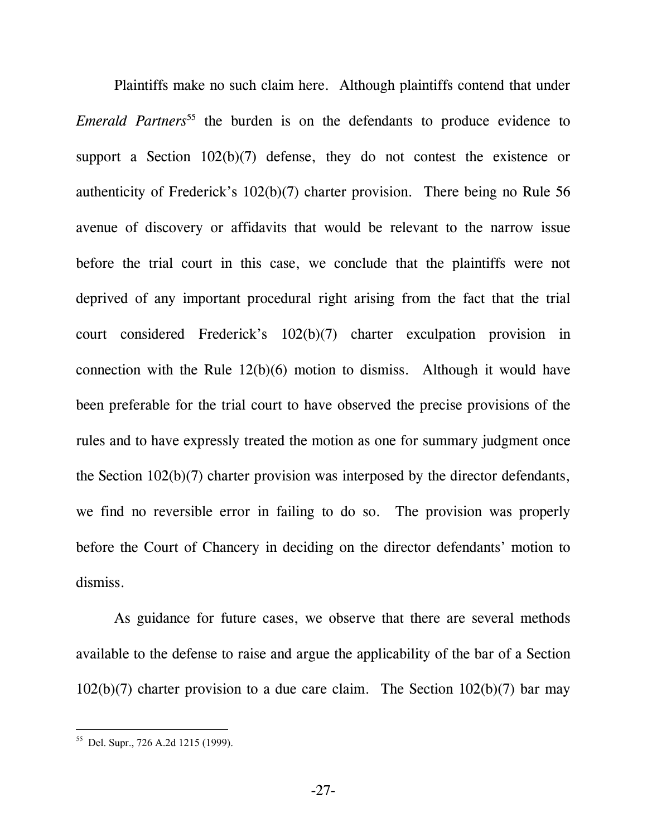Plaintiffs make no such claim here. Although plaintiffs contend that under *Emerald Partners*<sup>55</sup> the burden is on the defendants to produce evidence to support a Section 102(b)(7) defense, they do not contest the existence or authenticity of Frederick's 102(b)(7) charter provision. There being no Rule 56 avenue of discovery or affidavits that would be relevant to the narrow issue before the trial court in this case, we conclude that the plaintiffs were not deprived of any important procedural right arising from the fact that the trial court considered Frederick's 102(b)(7) charter exculpation provision in connection with the Rule 12(b)(6) motion to dismiss. Although it would have been preferable for the trial court to have observed the precise provisions of the rules and to have expressly treated the motion as one for summary judgment once the Section 102(b)(7) charter provision was interposed by the director defendants, we find no reversible error in failing to do so. The provision was properly before the Court of Chancery in deciding on the director defendants' motion to dismiss.

As guidance for future cases, we observe that there are several methods available to the defense to raise and argue the applicability of the bar of a Section 102(b)(7) charter provision to a due care claim. The Section 102(b)(7) bar may

<sup>55</sup> Del. Supr., 726 A.2d 1215 (1999).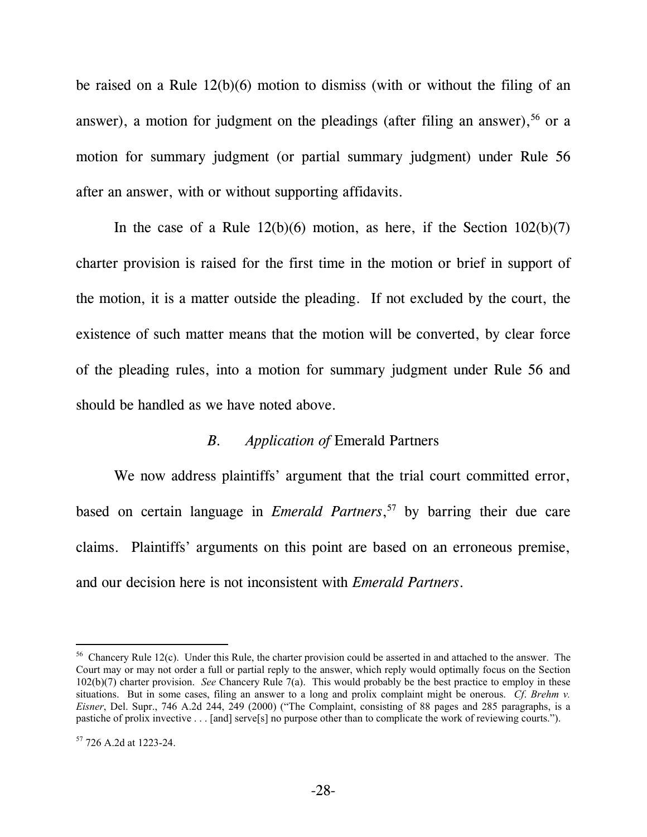be raised on a Rule 12(b)(6) motion to dismiss (with or without the filing of an answer), a motion for judgment on the pleadings (after filing an answer),  $56$  or a motion for summary judgment (or partial summary judgment) under Rule 56 after an answer, with or without supporting affidavits.

In the case of a Rule  $12(b)(6)$  motion, as here, if the Section  $102(b)(7)$ charter provision is raised for the first time in the motion or brief in support of the motion, it is a matter outside the pleading. If not excluded by the court, the existence of such matter means that the motion will be converted, by clear force of the pleading rules, into a motion for summary judgment under Rule 56 and should be handled as we have noted above.

#### *B. Application of* Emerald Partners

We now address plaintiffs' argument that the trial court committed error, based on certain language in *Emerald Partners*, 57 by barring their due care claims. Plaintiffs' arguments on this point are based on an erroneous premise, and our decision here is not inconsistent with *Emerald Partners*.

 $56$  Chancery Rule 12(c). Under this Rule, the charter provision could be asserted in and attached to the answer. The Court may or may not order a full or partial reply to the answer, which reply would optimally focus on the Section 102(b)(7) charter provision. *See* Chancery Rule 7(a). This would probably be the best practice to employ in these situations. But in some cases, filing an answer to a long and prolix complaint might be onerous. *Cf*. *Brehm v. Eisner*, Del. Supr., 746 A.2d 244, 249 (2000) ("The Complaint, consisting of 88 pages and 285 paragraphs, is a pastiche of prolix invective . . . [and] serve[s] no purpose other than to complicate the work of reviewing courts.").

 $57$  726 A.2d at 1223-24.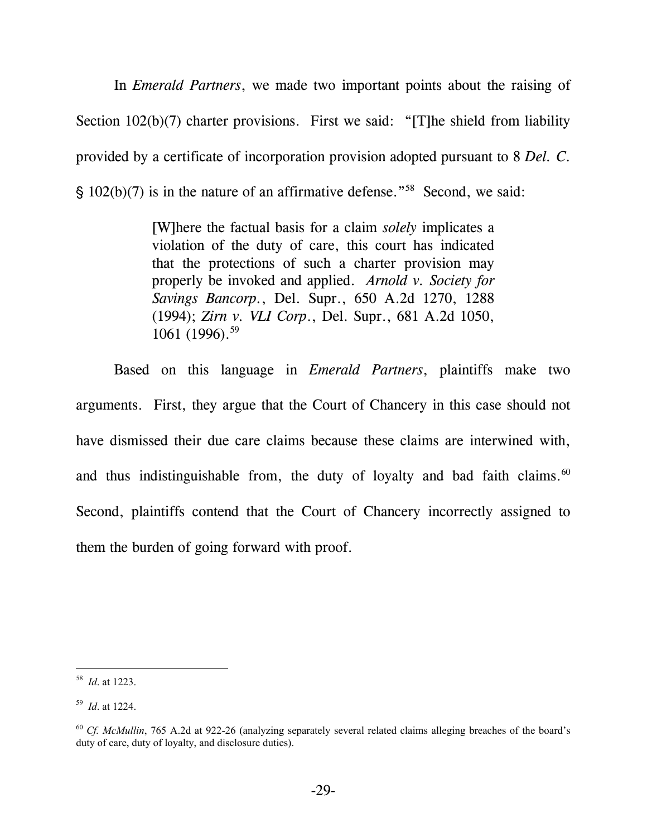In *Emerald Partners*, we made two important points about the raising of Section 102(b)(7) charter provisions. First we said: "[T]he shield from liability provided by a certificate of incorporation provision adopted pursuant to 8 *Del. C*.  $\hat{S}$  102(b)(7) is in the nature of an affirmative defense."<sup>58</sup> Second, we said:

> [W]here the factual basis for a claim *solely* implicates a violation of the duty of care, this court has indicated that the protections of such a charter provision may properly be invoked and applied. *Arnold v. Society for Savings Bancorp.*, Del. Supr., 650 A.2d 1270, 1288 (1994); *Zirn v. VLI Corp*., Del. Supr., 681 A.2d 1050, 1061 (1996).<sup>59</sup>

Based on this language in *Emerald Partners*, plaintiffs make two arguments. First, they argue that the Court of Chancery in this case should not have dismissed their due care claims because these claims are interwined with, and thus indistinguishable from, the duty of loyalty and bad faith claims. $60$ Second, plaintiffs contend that the Court of Chancery incorrectly assigned to them the burden of going forward with proof.

l

<sup>58</sup> *Id*. at 1223.

<sup>59</sup> *Id*. at 1224.

<sup>60</sup> *Cf. McMullin*, 765 A.2d at 922-26 (analyzing separately several related claims alleging breaches of the board's duty of care, duty of loyalty, and disclosure duties).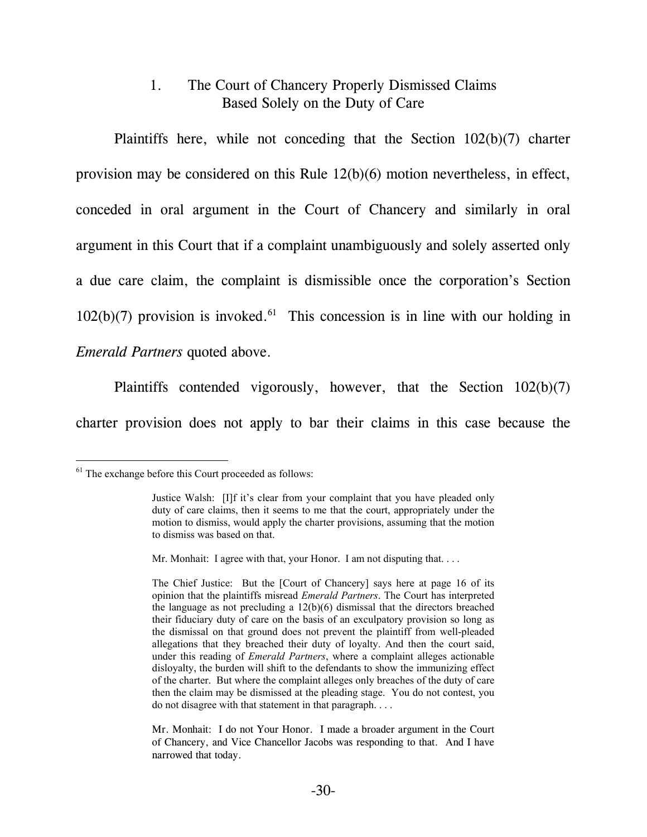# 1. The Court of Chancery Properly Dismissed Claims Based Solely on the Duty of Care

Plaintiffs here, while not conceding that the Section 102(b)(7) charter provision may be considered on this Rule 12(b)(6) motion nevertheless, in effect, conceded in oral argument in the Court of Chancery and similarly in oral argument in this Court that if a complaint unambiguously and solely asserted only a due care claim, the complaint is dismissible once the corporation's Section  $102(b)(7)$  provision is invoked.<sup>61</sup> This concession is in line with our holding in *Emerald Partners* quoted above.

Plaintiffs contended vigorously, however, that the Section 102(b)(7) charter provision does not apply to bar their claims in this case because the

 $61$  The exchange before this Court proceeded as follows:

Justice Walsh: [I]f it's clear from your complaint that you have pleaded only duty of care claims, then it seems to me that the court, appropriately under the motion to dismiss, would apply the charter provisions, assuming that the motion to dismiss was based on that.

Mr. Monhait: I agree with that, your Honor. I am not disputing that....

The Chief Justice: But the [Court of Chancery] says here at page 16 of its opinion that the plaintiffs misread *Emerald Partners*. The Court has interpreted the language as not precluding a 12(b)(6) dismissal that the directors breached their fiduciary duty of care on the basis of an exculpatory provision so long as the dismissal on that ground does not prevent the plaintiff from well-pleaded allegations that they breached their duty of loyalty. And then the court said, under this reading of *Emerald Partners*, where a complaint alleges actionable disloyalty, the burden will shift to the defendants to show the immunizing effect of the charter. But where the complaint alleges only breaches of the duty of care then the claim may be dismissed at the pleading stage. You do not contest, you do not disagree with that statement in that paragraph. . . .

Mr. Monhait: I do not Your Honor. I made a broader argument in the Court of Chancery, and Vice Chancellor Jacobs was responding to that. And I have narrowed that today.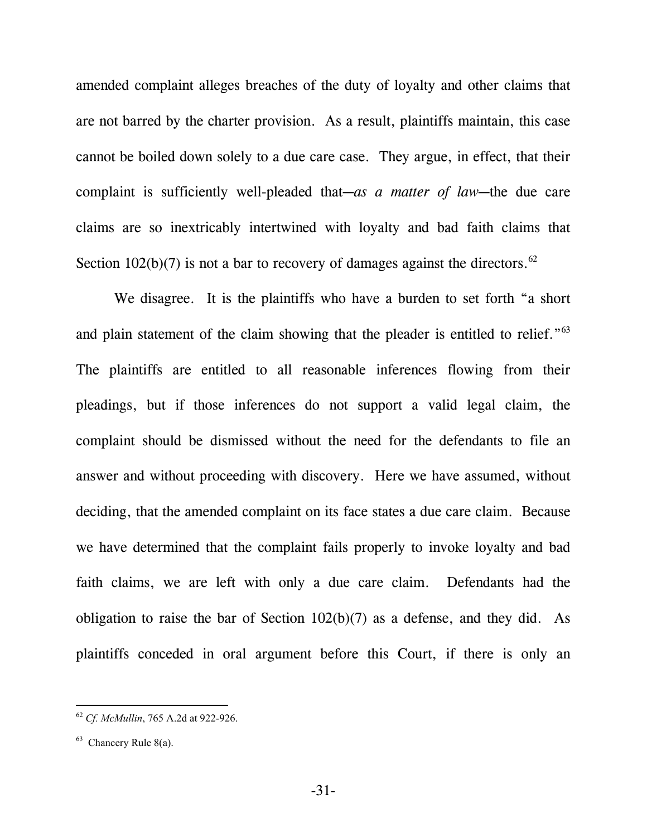amended complaint alleges breaches of the duty of loyalty and other claims that are not barred by the charter provision. As a result, plaintiffs maintain, this case cannot be boiled down solely to a due care case. They argue, in effect, that their complaint is sufficiently well-pleaded that—as a matter of law—the due care claims are so inextricably intertwined with loyalty and bad faith claims that Section 102(b)(7) is not a bar to recovery of damages against the directors.<sup>62</sup>

We disagree. It is the plaintiffs who have a burden to set forth "a short and plain statement of the claim showing that the pleader is entitled to relief.<sup>"63</sup> The plaintiffs are entitled to all reasonable inferences flowing from their pleadings, but if those inferences do not support a valid legal claim, the complaint should be dismissed without the need for the defendants to file an answer and without proceeding with discovery. Here we have assumed, without deciding, that the amended complaint on its face states a due care claim. Because we have determined that the complaint fails properly to invoke loyalty and bad faith claims, we are left with only a due care claim. Defendants had the obligation to raise the bar of Section 102(b)(7) as a defense, and they did. As plaintiffs conceded in oral argument before this Court, if there is only an

l

<sup>62</sup> *Cf. McMullin*, 765 A.2d at 922-926.

 $63$  Chancery Rule 8(a).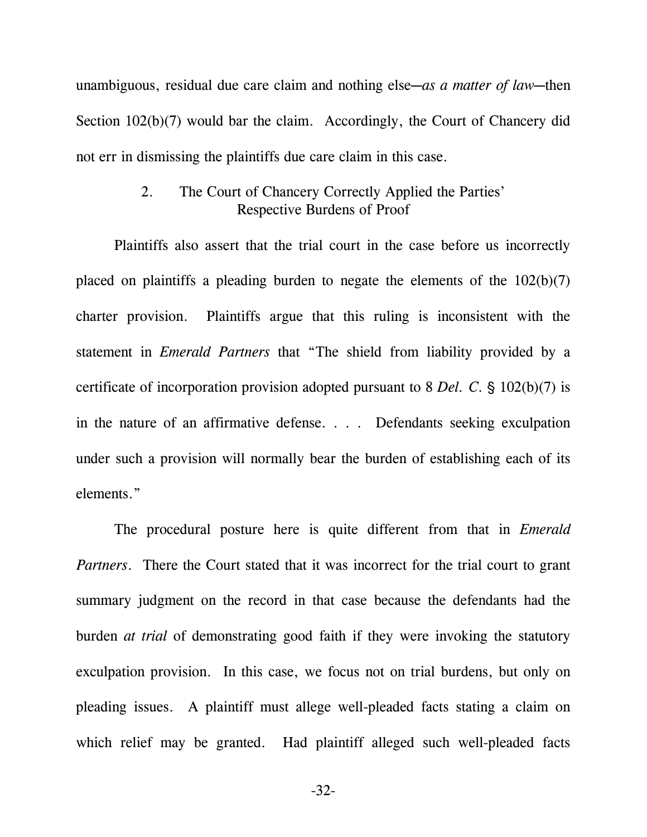unambiguous, residual due care claim and nothing else—as a matter of law—then Section 102(b)(7) would bar the claim. Accordingly, the Court of Chancery did not err in dismissing the plaintiffs due care claim in this case.

## 2. The Court of Chancery Correctly Applied the Parties' Respective Burdens of Proof

Plaintiffs also assert that the trial court in the case before us incorrectly placed on plaintiffs a pleading burden to negate the elements of the  $102(b)(7)$ charter provision. Plaintiffs argue that this ruling is inconsistent with the statement in *Emerald Partners* that "The shield from liability provided by a certificate of incorporation provision adopted pursuant to  $8$  *Del. C.*  $\frac{6}{9}$  102(b)(7) is in the nature of an affirmative defense. . . . Defendants seeking exculpation under such a provision will normally bear the burden of establishing each of its elements."

The procedural posture here is quite different from that in *Emerald Partners*. There the Court stated that it was incorrect for the trial court to grant summary judgment on the record in that case because the defendants had the burden *at trial* of demonstrating good faith if they were invoking the statutory exculpation provision. In this case, we focus not on trial burdens, but only on pleading issues. A plaintiff must allege well-pleaded facts stating a claim on which relief may be granted. Had plaintiff alleged such well-pleaded facts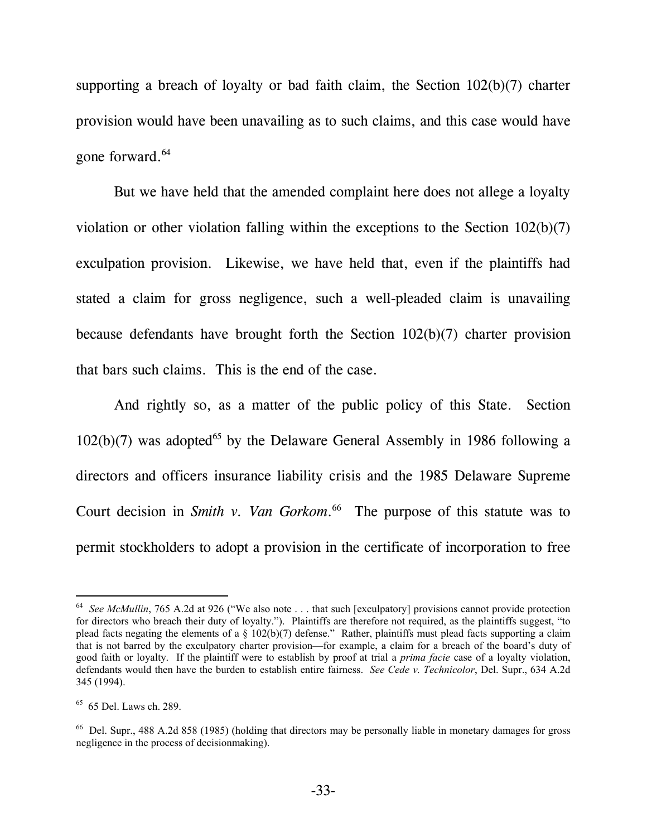supporting a breach of loyalty or bad faith claim, the Section 102(b)(7) charter provision would have been unavailing as to such claims, and this case would have gone forward.<sup>64</sup>

But we have held that the amended complaint here does not allege a loyalty violation or other violation falling within the exceptions to the Section 102(b)(7) exculpation provision. Likewise, we have held that, even if the plaintiffs had stated a claim for gross negligence, such a well-pleaded claim is unavailing because defendants have brought forth the Section 102(b)(7) charter provision that bars such claims. This is the end of the case.

And rightly so, as a matter of the public policy of this State. Section  $102(b)(7)$  was adopted<sup>65</sup> by the Delaware General Assembly in 1986 following a directors and officers insurance liability crisis and the 1985 Delaware Supreme Court decision in *Smith v. Van Gorkom*. 66 The purpose of this statute was to permit stockholders to adopt a provision in the certificate of incorporation to free

<sup>&</sup>lt;sup>64</sup> *See McMullin*, 765 A.2d at 926 ("We also note . . . that such [exculpatory] provisions cannot provide protection for directors who breach their duty of loyalty."). Plaintiffs are therefore not required, as the plaintiffs suggest, "to plead facts negating the elements of a  $\S$  102(b)(7) defense." Rather, plaintiffs must plead facts supporting a claim that is not barred by the exculpatory charter provision—for example, a claim for a breach of the board's duty of good faith or loyalty. If the plaintiff were to establish by proof at trial a *prima facie* case of a loyalty violation, defendants would then have the burden to establish entire fairness. *See Cede v. Technicolor*, Del. Supr., 634 A.2d 345 (1994).

<sup>65 65</sup> Del. Laws ch. 289.

<sup>66</sup> Del. Supr., 488 A.2d 858 (1985) (holding that directors may be personally liable in monetary damages for gross negligence in the process of decisionmaking).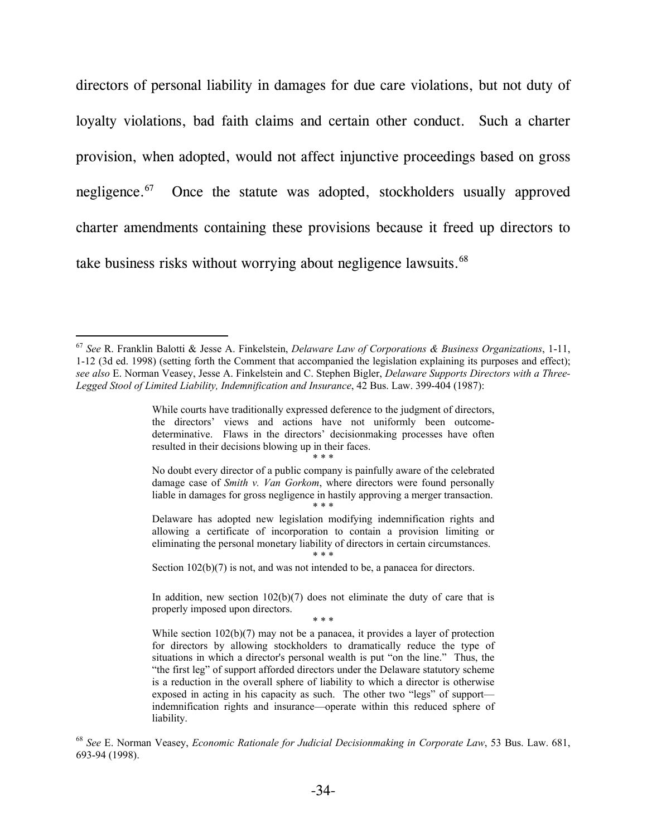directors of personal liability in damages for due care violations, but not duty of loyalty violations, bad faith claims and certain other conduct. Such a charter provision, when adopted, would not affect injunctive proceedings based on gross negligence.<sup>67</sup> Once the statute was adopted, stockholders usually approved charter amendments containing these provisions because it freed up directors to take business risks without worrying about negligence lawsuits.<sup>68</sup>

l

\* \* \*

<sup>67</sup> *See* R. Franklin Balotti & Jesse A. Finkelstein, *Delaware Law of Corporations & Business Organizations*, 1-11, 1-12 (3d ed. 1998) (setting forth the Comment that accompanied the legislation explaining its purposes and effect); *see also* E. Norman Veasey, Jesse A. Finkelstein and C. Stephen Bigler, *Delaware Supports Directors with a Three-Legged Stool of Limited Liability, Indemnification and Insurance*, 42 Bus. Law. 399-404 (1987):

While courts have traditionally expressed deference to the judgment of directors, the directors' views and actions have not uniformly been outcomedeterminative. Flaws in the directors' decisionmaking processes have often resulted in their decisions blowing up in their faces.

No doubt every director of a public company is painfully aware of the celebrated damage case of *Smith v. Van Gorkom*, where directors were found personally liable in damages for gross negligence in hastily approving a merger transaction. \* \* \*

Delaware has adopted new legislation modifying indemnification rights and allowing a certificate of incorporation to contain a provision limiting or eliminating the personal monetary liability of directors in certain circumstances. \* \* \*

Section  $102(b)(7)$  is not, and was not intended to be, a panacea for directors.

In addition, new section  $102(b)(7)$  does not eliminate the duty of care that is properly imposed upon directors.

<sup>\* \* \*</sup>

While section  $102(b)(7)$  may not be a panacea, it provides a layer of protection for directors by allowing stockholders to dramatically reduce the type of situations in which a director's personal wealth is put "on the line." Thus, the "the first leg" of support afforded directors under the Delaware statutory scheme is a reduction in the overall sphere of liability to which a director is otherwise exposed in acting in his capacity as such. The other two "legs" of support indemnification rights and insurance—operate within this reduced sphere of liability.

<sup>68</sup> *See* E. Norman Veasey, *Economic Rationale for Judicial Decisionmaking in Corporate Law*, 53 Bus. Law. 681, 693-94 (1998).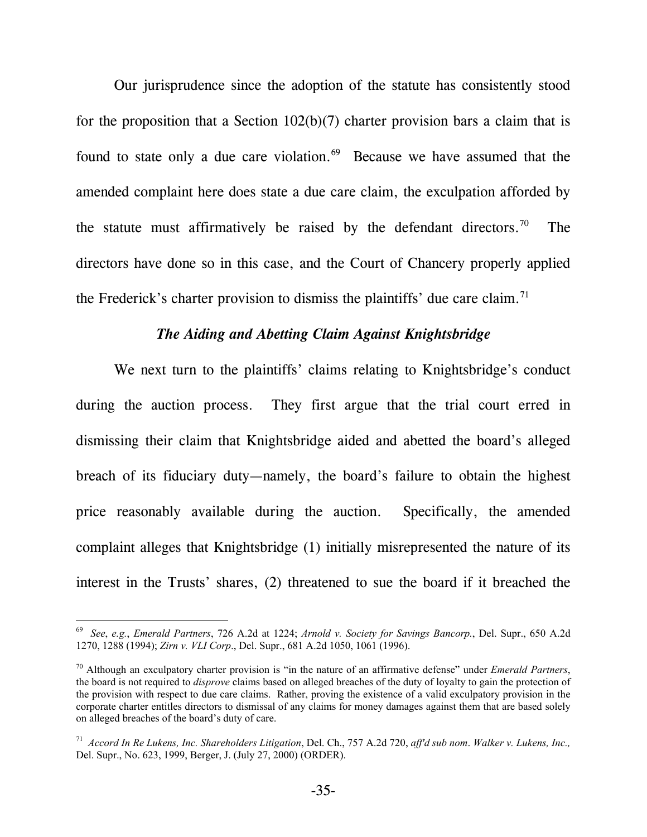Our jurisprudence since the adoption of the statute has consistently stood for the proposition that a Section  $102(b)(7)$  charter provision bars a claim that is found to state only a due care violation. $69$  Because we have assumed that the amended complaint here does state a due care claim, the exculpation afforded by the statute must affirmatively be raised by the defendant directors.<sup>70</sup> The directors have done so in this case, and the Court of Chancery properly applied the Frederick's charter provision to dismiss the plaintiffs' due care claim.<sup>71</sup>

## *The Aiding and Abetting Claim Against Knightsbridge*

We next turn to the plaintiffs' claims relating to Knightsbridge's conduct during the auction process. They first argue that the trial court erred in dismissing their claim that Knightsbridge aided and abetted the board's alleged breach of its fiduciary duty—namely, the board's failure to obtain the highest price reasonably available during the auction. Specifically, the amended complaint alleges that Knightsbridge (1) initially misrepresented the nature of its interest in the Trusts' shares, (2) threatened to sue the board if it breached the

<sup>69</sup> *See*, *e.g.*, *Emerald Partners*, 726 A.2d at 1224; *Arnold v. Society for Savings Bancorp.*, Del. Supr., 650 A.2d 1270, 1288 (1994); *Zirn v. VLI Corp*., Del. Supr., 681 A.2d 1050, 1061 (1996).

<sup>70</sup> Although an exculpatory charter provision is "in the nature of an affirmative defense" under *Emerald Partners*, the board is not required to *disprove* claims based on alleged breaches of the duty of loyalty to gain the protection of the provision with respect to due care claims. Rather, proving the existence of a valid exculpatory provision in the corporate charter entitles directors to dismissal of any claims for money damages against them that are based solely on alleged breaches of the board's duty of care.

<sup>71</sup> *Accord In Re Lukens, Inc. Shareholders Litigation*, Del. Ch., 757 A.2d 720, *aff'd sub nom*. *Walker v. Lukens, Inc.,* Del. Supr., No. 623, 1999, Berger, J. (July 27, 2000) (ORDER).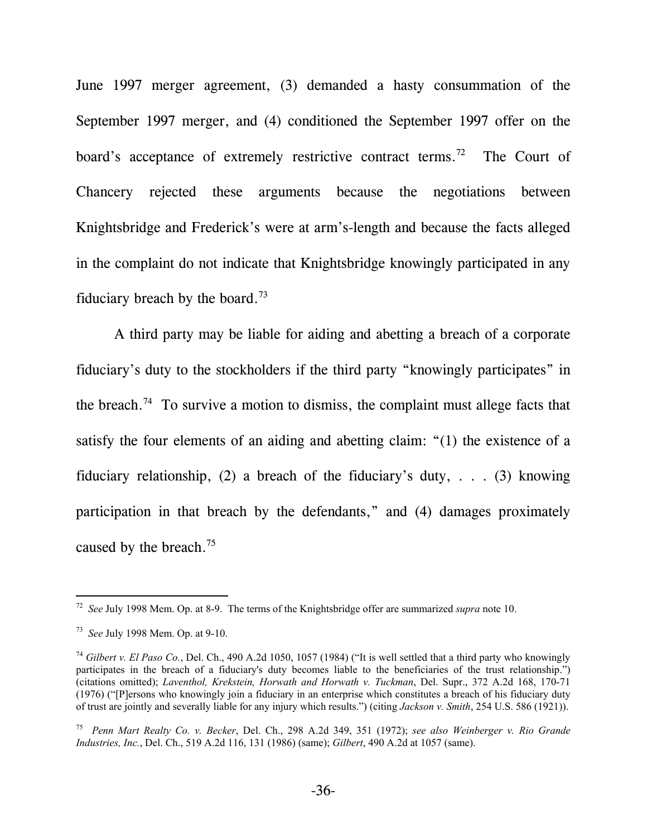June 1997 merger agreement, (3) demanded a hasty consummation of the September 1997 merger, and (4) conditioned the September 1997 offer on the board's acceptance of extremely restrictive contract terms.<sup>72</sup> The Court of Chancery rejected these arguments because the negotiations between Knightsbridge and Frederick's were at arm's-length and because the facts alleged in the complaint do not indicate that Knightsbridge knowingly participated in any fiduciary breach by the board.<sup>73</sup>

A third party may be liable for aiding and abetting a breach of a corporate fiduciary's duty to the stockholders if the third party "knowingly participates" in the breach.<sup>74</sup> To survive a motion to dismiss, the complaint must allege facts that satisfy the four elements of an aiding and abetting claim: "(1) the existence of a fiduciary relationship, (2) a breach of the fiduciary's duty, . . . (3) knowing participation in that breach by the defendants," and (4) damages proximately caused by the breach.75

l

<sup>72</sup> *See* July 1998 Mem. Op. at 8-9. The terms of the Knightsbridge offer are summarized *supra* note 10.

<sup>73</sup> *See* July 1998 Mem. Op. at 9-10.

<sup>&</sup>lt;sup>74</sup> Gilbert v. El Paso Co., Del. Ch., 490 A.2d 1050, 1057 (1984) ("It is well settled that a third party who knowingly participates in the breach of a fiduciary's duty becomes liable to the beneficiaries of the trust relationship.") (citations omitted); *Laventhol, Krekstein, Horwath and Horwath v. Tuckman*, Del. Supr., 372 A.2d 168, 170-71 (1976) ("[P]ersons who knowingly join a fiduciary in an enterprise which constitutes a breach of his fiduciary duty of trust are jointly and severally liable for any injury which results.") (citing *Jackson v. Smith*, 254 U.S. 586 (1921)).

<sup>75</sup> *Penn Mart Realty Co. v. Becker*, Del. Ch., 298 A.2d 349, 351 (1972); *see also Weinberger v. Rio Grande Industries, Inc.*, Del. Ch., 519 A.2d 116, 131 (1986) (same); *Gilbert*, 490 A.2d at 1057 (same).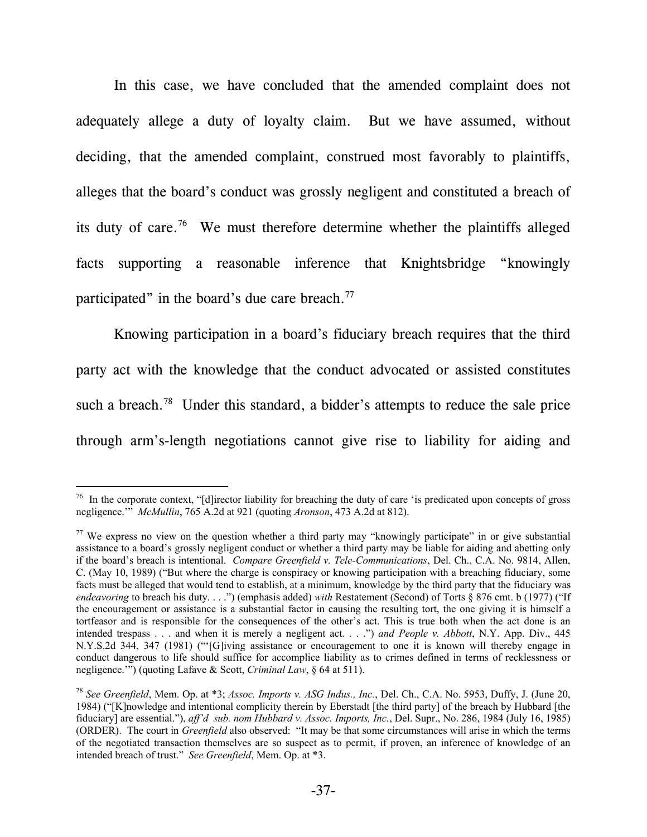In this case, we have concluded that the amended complaint does not adequately allege a duty of loyalty claim. But we have assumed, without deciding, that the amended complaint, construed most favorably to plaintiffs, alleges that the board's conduct was grossly negligent and constituted a breach of its duty of care.76 We must therefore determine whether the plaintiffs alleged facts supporting a reasonable inference that Knightsbridge "knowingly participated" in the board's due care breach.<sup>77</sup>

Knowing participation in a board's fiduciary breach requires that the third party act with the knowledge that the conduct advocated or assisted constitutes such a breach.<sup>78</sup> Under this standard, a bidder's attempts to reduce the sale price through arm's-length negotiations cannot give rise to liability for aiding and

 $\overline{a}$  $76$  In the corporate context, "[d]irector liability for breaching the duty of care 'is predicated upon concepts of gross negligence.'" *McMullin*, 765 A.2d at 921 (quoting *Aronson*, 473 A.2d at 812).

<sup>&</sup>lt;sup>77</sup> We express no view on the question whether a third party may "knowingly participate" in or give substantial assistance to a board's grossly negligent conduct or whether a third party may be liable for aiding and abetting only if the board's breach is intentional. *Compare Greenfield v. Tele-Communications*, Del. Ch., C.A. No. 9814, Allen, C. (May 10, 1989) ("But where the charge is conspiracy or knowing participation with a breaching fiduciary, some facts must be alleged that would tend to establish, at a minimum, knowledge by the third party that the fiduciary was *endeavoring* to breach his duty. . . .") (emphasis added) *with* Restatement (Second) of Torts § 876 cmt. b (1977) ("If the encouragement or assistance is a substantial factor in causing the resulting tort, the one giving it is himself a tortfeasor and is responsible for the consequences of the other's act. This is true both when the act done is an intended trespass . . . and when it is merely a negligent act. . . .") *and People v. Abbott*, N.Y. App. Div., 445 N.Y.S.2d 344, 347 (1981) ("'[G]iving assistance or encouragement to one it is known will thereby engage in conduct dangerous to life should suffice for accomplice liability as to crimes defined in terms of recklessness or negligence.'") (quoting Lafave & Scott, *Criminal Law*, § 64 at 511).

<sup>78</sup> *See Greenfield*, Mem. Op. at \*3; *Assoc. Imports v. ASG Indus., Inc.*, Del. Ch., C.A. No. 5953, Duffy, J. (June 20, 1984) ("[K]nowledge and intentional complicity therein by Eberstadt [the third party] of the breach by Hubbard [the fiduciary] are essential."), *aff'd sub. nom Hubbard v. Assoc. Imports, Inc.*, Del. Supr., No. 286, 1984 (July 16, 1985) (ORDER). The court in *Greenfield* also observed: "It may be that some circumstances will arise in which the terms of the negotiated transaction themselves are so suspect as to permit, if proven, an inference of knowledge of an intended breach of trust." *See Greenfield*, Mem. Op. at \*3.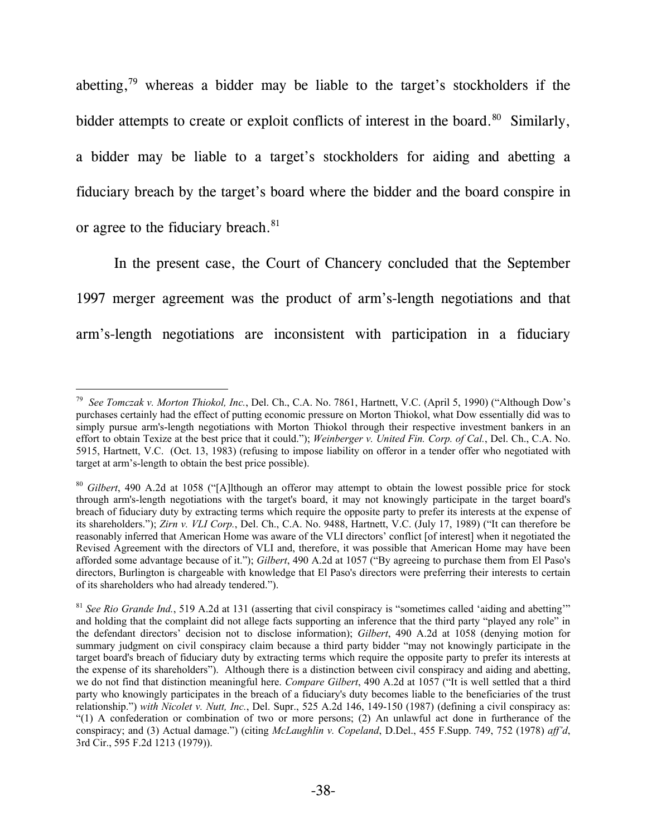abetting,79 whereas a bidder may be liable to the target's stockholders if the bidder attempts to create or exploit conflicts of interest in the board.<sup>80</sup> Similarly, a bidder may be liable to a target's stockholders for aiding and abetting a fiduciary breach by the target's board where the bidder and the board conspire in or agree to the fiduciary breach.<sup>81</sup>

In the present case, the Court of Chancery concluded that the September 1997 merger agreement was the product of arm's-length negotiations and that arm's-length negotiations are inconsistent with participation in a fiduciary

 $\overline{a}$ 79 *See Tomczak v. Morton Thiokol, Inc.*, Del. Ch., C.A. No. 7861, Hartnett, V.C. (April 5, 1990) ("Although Dow's purchases certainly had the effect of putting economic pressure on Morton Thiokol, what Dow essentially did was to simply pursue arm's-length negotiations with Morton Thiokol through their respective investment bankers in an effort to obtain Texize at the best price that it could."); *Weinberger v. United Fin. Corp. of Cal.*, Del. Ch., C.A. No. 5915, Hartnett, V.C. (Oct. 13, 1983) (refusing to impose liability on offeror in a tender offer who negotiated with target at arm's-length to obtain the best price possible).

<sup>80</sup> *Gilbert*, 490 A.2d at 1058 ("[A]lthough an offeror may attempt to obtain the lowest possible price for stock through arm's-length negotiations with the target's board, it may not knowingly participate in the target board's breach of fiduciary duty by extracting terms which require the opposite party to prefer its interests at the expense of its shareholders."); *Zirn v. VLI Corp.*, Del. Ch., C.A. No. 9488, Hartnett, V.C. (July 17, 1989) ("It can therefore be reasonably inferred that American Home was aware of the VLI directors' conflict [of interest] when it negotiated the Revised Agreement with the directors of VLI and, therefore, it was possible that American Home may have been afforded some advantage because of it."); *Gilbert*, 490 A.2d at 1057 ("By agreeing to purchase them from El Paso's directors, Burlington is chargeable with knowledge that El Paso's directors were preferring their interests to certain of its shareholders who had already tendered.").

<sup>&</sup>lt;sup>81</sup> See Rio Grande Ind., 519 A.2d at 131 (asserting that civil conspiracy is "sometimes called 'aiding and abetting'" and holding that the complaint did not allege facts supporting an inference that the third party "played any role" in the defendant directors' decision not to disclose information); *Gilbert*, 490 A.2d at 1058 (denying motion for summary judgment on civil conspiracy claim because a third party bidder "may not knowingly participate in the target board's breach of fiduciary duty by extracting terms which require the opposite party to prefer its interests at the expense of its shareholders"). Although there is a distinction between civil conspiracy and aiding and abetting, we do not find that distinction meaningful here. *Compare Gilbert*, 490 A.2d at 1057 ("It is well settled that a third party who knowingly participates in the breach of a fiduciary's duty becomes liable to the beneficiaries of the trust relationship.") *with Nicolet v. Nutt, Inc.*, Del. Supr., 525 A.2d 146, 149-150 (1987) (defining a civil conspiracy as: "(1) A confederation or combination of two or more persons; (2) An unlawful act done in furtherance of the conspiracy; and (3) Actual damage.") (citing *McLaughlin v. Copeland*, D.Del., 455 F.Supp. 749, 752 (1978) *aff'd*, 3rd Cir., 595 F.2d 1213 (1979)).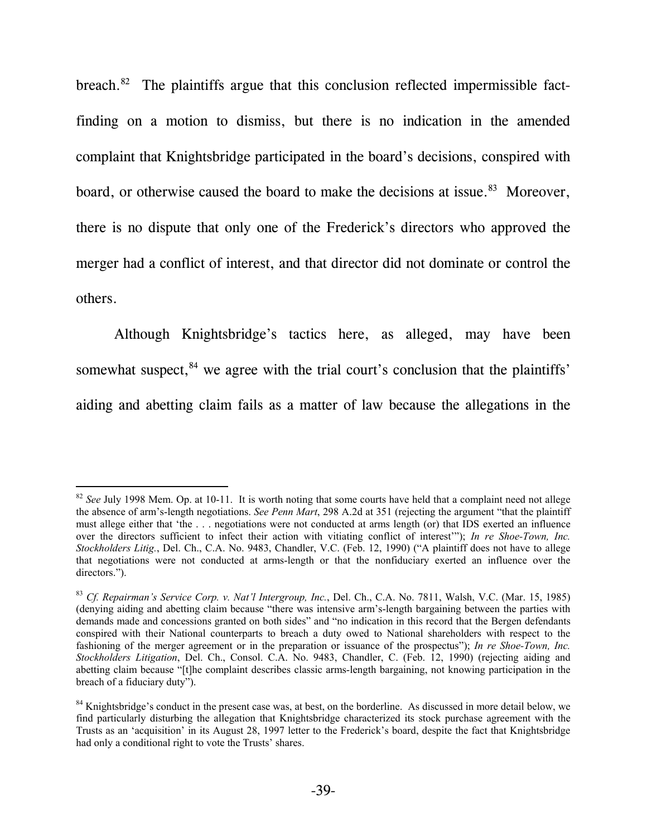breach. $82$  The plaintiffs argue that this conclusion reflected impermissible factfinding on a motion to dismiss, but there is no indication in the amended complaint that Knightsbridge participated in the board's decisions, conspired with board, or otherwise caused the board to make the decisions at issue.<sup>83</sup> Moreover, there is no dispute that only one of the Frederick's directors who approved the merger had a conflict of interest, and that director did not dominate or control the others.

Although Knightsbridge's tactics here, as alleged, may have been somewhat suspect, $84$  we agree with the trial court's conclusion that the plaintiffs' aiding and abetting claim fails as a matter of law because the allegations in the

<sup>82</sup> *See* July 1998 Mem. Op. at 10-11. It is worth noting that some courts have held that a complaint need not allege the absence of arm's-length negotiations. *See Penn Mart*, 298 A.2d at 351 (rejecting the argument "that the plaintiff must allege either that 'the . . . negotiations were not conducted at arms length (or) that IDS exerted an influence over the directors sufficient to infect their action with vitiating conflict of interest'"); *In re Shoe-Town, Inc. Stockholders Litig.*, Del. Ch., C.A. No. 9483, Chandler, V.C. (Feb. 12, 1990) ("A plaintiff does not have to allege that negotiations were not conducted at arms-length or that the nonfiduciary exerted an influence over the directors.").

<sup>83</sup> *Cf. Repairman's Service Corp. v. Nat'l Intergroup, Inc.*, Del. Ch., C.A. No. 7811, Walsh, V.C. (Mar. 15, 1985) (denying aiding and abetting claim because "there was intensive arm's-length bargaining between the parties with demands made and concessions granted on both sides" and "no indication in this record that the Bergen defendants conspired with their National counterparts to breach a duty owed to National shareholders with respect to the fashioning of the merger agreement or in the preparation or issuance of the prospectus"); *In re Shoe-Town, Inc. Stockholders Litigation*, Del. Ch., Consol. C.A. No. 9483, Chandler, C. (Feb. 12, 1990) (rejecting aiding and abetting claim because "[t]he complaint describes classic arms-length bargaining, not knowing participation in the breach of a fiduciary duty").

<sup>&</sup>lt;sup>84</sup> Knightsbridge's conduct in the present case was, at best, on the borderline. As discussed in more detail below, we find particularly disturbing the allegation that Knightsbridge characterized its stock purchase agreement with the Trusts as an 'acquisition' in its August 28, 1997 letter to the Frederick's board, despite the fact that Knightsbridge had only a conditional right to vote the Trusts' shares.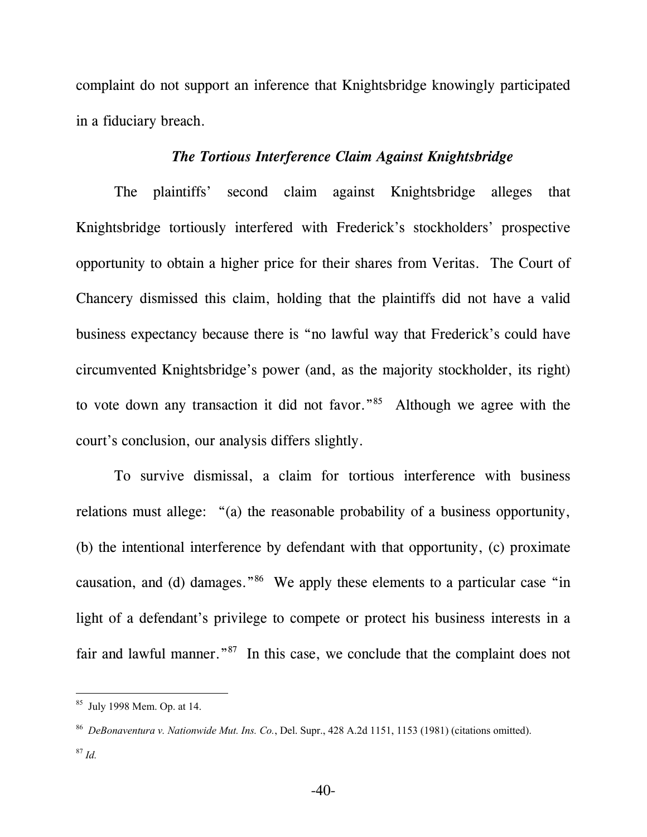complaint do not support an inference that Knightsbridge knowingly participated in a fiduciary breach.

### *The Tortious Interference Claim Against Knightsbridge*

The plaintiffs' second claim against Knightsbridge alleges that Knightsbridge tortiously interfered with Frederick's stockholders' prospective opportunity to obtain a higher price for their shares from Veritas. The Court of Chancery dismissed this claim, holding that the plaintiffs did not have a valid business expectancy because there is "no lawful way that Frederick's could have circumvented Knightsbridge's power (and, as the majority stockholder, its right) to vote down any transaction it did not favor."85 Although we agree with the court's conclusion, our analysis differs slightly.

To survive dismissal, a claim for tortious interference with business relations must allege: "(a) the reasonable probability of a business opportunity, (b) the intentional interference by defendant with that opportunity, (c) proximate causation, and (d) damages."86 We apply these elements to a particular case "in light of a defendant's privilege to compete or protect his business interests in a fair and lawful manner."<sup>87</sup> In this case, we conclude that the complaint does not

<sup>85</sup> July 1998 Mem. Op. at 14.

<sup>86</sup> *DeBonaventura v. Nationwide Mut. Ins. Co.*, Del. Supr., 428 A.2d 1151, 1153 (1981) (citations omitted). <sup>87</sup> *Id.*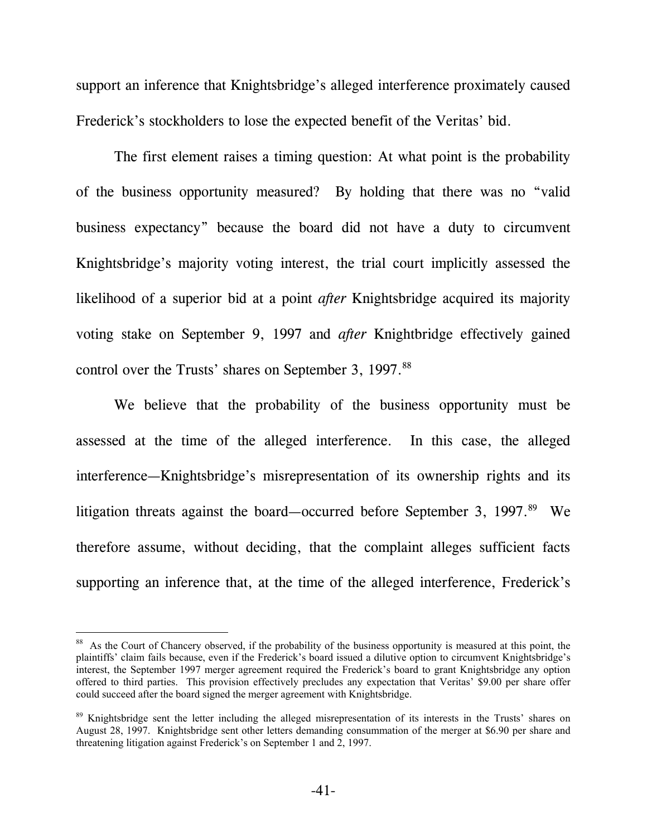support an inference that Knightsbridge's alleged interference proximately caused Frederick's stockholders to lose the expected benefit of the Veritas' bid.

The first element raises a timing question: At what point is the probability of the business opportunity measured? By holding that there was no "valid business expectancy" because the board did not have a duty to circumvent Knightsbridge's majority voting interest, the trial court implicitly assessed the likelihood of a superior bid at a point *after* Knightsbridge acquired its majority voting stake on September 9, 1997 and *after* Knightbridge effectively gained control over the Trusts' shares on September 3, 1997.<sup>88</sup>

We believe that the probability of the business opportunity must be assessed at the time of the alleged interference. In this case, the alleged interference—Knightsbridge's misrepresentation of its ownership rights and its litigation threats against the board—occurred before September 3, 1997.<sup>89</sup> We therefore assume, without deciding, that the complaint alleges sufficient facts supporting an inference that, at the time of the alleged interference, Frederick's

<sup>&</sup>lt;sup>88</sup> As the Court of Chancery observed, if the probability of the business opportunity is measured at this point, the plaintiffs' claim fails because, even if the Frederick's board issued a dilutive option to circumvent Knightsbridge's interest, the September 1997 merger agreement required the Frederick's board to grant Knightsbridge any option offered to third parties. This provision effectively precludes any expectation that Veritas' \$9.00 per share offer could succeed after the board signed the merger agreement with Knightsbridge.

<sup>&</sup>lt;sup>89</sup> Knightsbridge sent the letter including the alleged misrepresentation of its interests in the Trusts' shares on August 28, 1997. Knightsbridge sent other letters demanding consummation of the merger at \$6.90 per share and threatening litigation against Frederick's on September 1 and 2, 1997.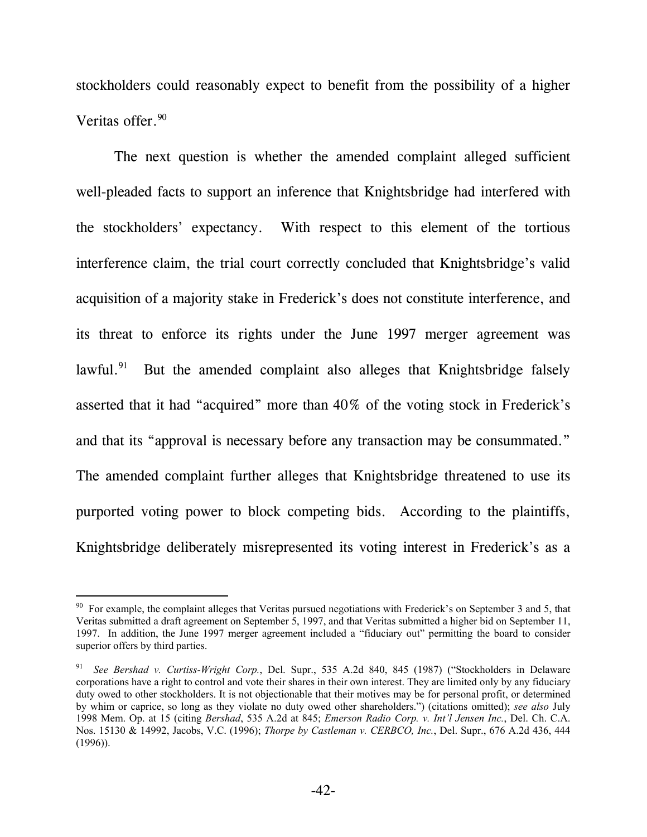stockholders could reasonably expect to benefit from the possibility of a higher Veritas offer.<sup>90</sup>

The next question is whether the amended complaint alleged sufficient well-pleaded facts to support an inference that Knightsbridge had interfered with the stockholders' expectancy. With respect to this element of the tortious interference claim, the trial court correctly concluded that Knightsbridge's valid acquisition of a majority stake in Frederick's does not constitute interference, and its threat to enforce its rights under the June 1997 merger agreement was lawful. $91$  But the amended complaint also alleges that Knightsbridge falsely asserted that it had "acquired" more than 40% of the voting stock in Frederick's and that its "approval is necessary before any transaction may be consummated." The amended complaint further alleges that Knightsbridge threatened to use its purported voting power to block competing bids. According to the plaintiffs, Knightsbridge deliberately misrepresented its voting interest in Frederick's as a

 $90\,$  For example, the complaint alleges that Veritas pursued negotiations with Frederick's on September 3 and 5, that Veritas submitted a draft agreement on September 5, 1997, and that Veritas submitted a higher bid on September 11, 1997. In addition, the June 1997 merger agreement included a "fiduciary out" permitting the board to consider superior offers by third parties.

See Bershad v. Curtiss-Wright Corp., Del. Supr., 535 A.2d 840, 845 (1987) ("Stockholders in Delaware corporations have a right to control and vote their shares in their own interest. They are limited only by any fiduciary duty owed to other stockholders. It is not objectionable that their motives may be for personal profit, or determined by whim or caprice, so long as they violate no duty owed other shareholders.") (citations omitted); *see also* July 1998 Mem. Op. at 15 (citing *Bershad*, 535 A.2d at 845; *Emerson Radio Corp. v. Int'l Jensen Inc.*, Del. Ch. C.A. Nos. 15130 & 14992, Jacobs, V.C. (1996); *Thorpe by Castleman v. CERBCO, Inc.*, Del. Supr., 676 A.2d 436, 444 (1996)).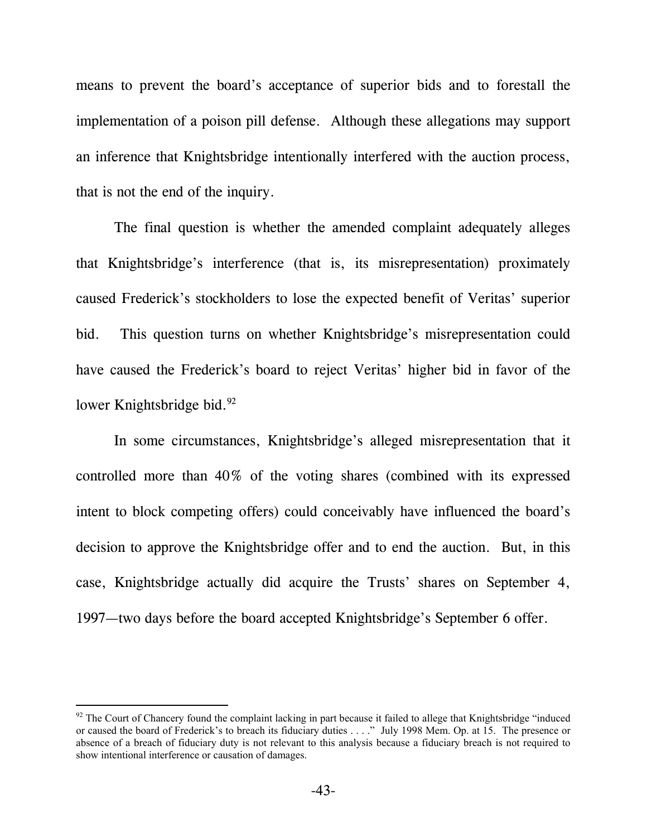means to prevent the board's acceptance of superior bids and to forestall the implementation of a poison pill defense. Although these allegations may support an inference that Knightsbridge intentionally interfered with the auction process, that is not the end of the inquiry.

The final question is whether the amended complaint adequately alleges that Knightsbridge's interference (that is, its misrepresentation) proximately caused Frederick's stockholders to lose the expected benefit of Veritas' superior bid. This question turns on whether Knightsbridge's misrepresentation could have caused the Frederick's board to reject Veritas' higher bid in favor of the lower Knightsbridge bid.<sup>92</sup>

In some circumstances, Knightsbridge's alleged misrepresentation that it controlled more than 40% of the voting shares (combined with its expressed intent to block competing offers) could conceivably have influenced the board's decision to approve the Knightsbridge offer and to end the auction. But, in this case, Knightsbridge actually did acquire the Trusts' shares on September 4, 1997—two days before the board accepted Knightsbridge's September 6 offer.

l

 $92$  The Court of Chancery found the complaint lacking in part because it failed to allege that Knightsbridge "induced" or caused the board of Frederick's to breach its fiduciary duties . . . ." July 1998 Mem. Op. at 15. The presence or absence of a breach of fiduciary duty is not relevant to this analysis because a fiduciary breach is not required to show intentional interference or causation of damages.